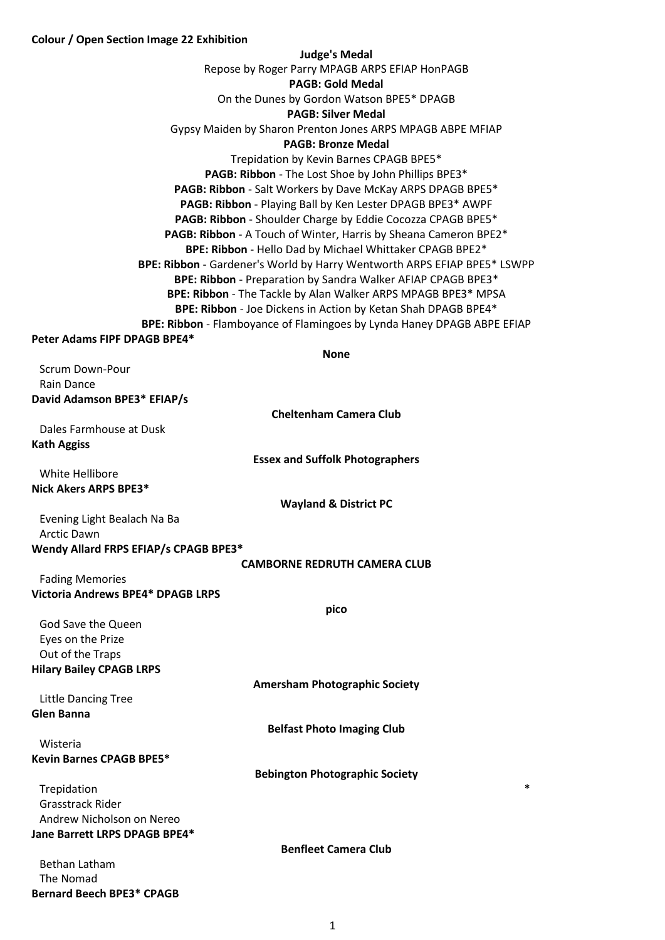# **Colour / Open Section Image 22 Exhibition**

**Bernard Beech BPE3\* CPAGB**

| <b>Judge's Medal</b>                                                                           |
|------------------------------------------------------------------------------------------------|
| Repose by Roger Parry MPAGB ARPS EFIAP HonPAGB                                                 |
| <b>PAGB: Gold Medal</b>                                                                        |
| On the Dunes by Gordon Watson BPE5* DPAGB                                                      |
| <b>PAGB: Silver Medal</b>                                                                      |
| Gypsy Maiden by Sharon Prenton Jones ARPS MPAGB ABPE MFIAP                                     |
| <b>PAGB: Bronze Medal</b>                                                                      |
| Trepidation by Kevin Barnes CPAGB BPE5*<br>PAGB: Ribbon - The Lost Shoe by John Phillips BPE3* |
| PAGB: Ribbon - Salt Workers by Dave McKay ARPS DPAGB BPE5*                                     |
| PAGB: Ribbon - Playing Ball by Ken Lester DPAGB BPE3* AWPF                                     |
| PAGB: Ribbon - Shoulder Charge by Eddie Cocozza CPAGB BPE5*                                    |
| PAGB: Ribbon - A Touch of Winter, Harris by Sheana Cameron BPE2*                               |
| BPE: Ribbon - Hello Dad by Michael Whittaker CPAGB BPE2*                                       |
| BPE: Ribbon - Gardener's World by Harry Wentworth ARPS EFIAP BPE5* LSWPP                       |
| BPE: Ribbon - Preparation by Sandra Walker AFIAP CPAGB BPE3*                                   |
| BPE: Ribbon - The Tackle by Alan Walker ARPS MPAGB BPE3* MPSA                                  |
| BPE: Ribbon - Joe Dickens in Action by Ketan Shah DPAGB BPE4*                                  |
| BPE: Ribbon - Flamboyance of Flamingoes by Lynda Haney DPAGB ABPE EFIAP                        |
| Peter Adams FIPF DPAGB BPE4*                                                                   |
| <b>None</b>                                                                                    |
| <b>Scrum Down-Pour</b><br>Rain Dance                                                           |
| David Adamson BPE3* EFIAP/s                                                                    |
| <b>Cheltenham Camera Club</b>                                                                  |
| Dales Farmhouse at Dusk                                                                        |
| <b>Kath Aggiss</b>                                                                             |
| <b>Essex and Suffolk Photographers</b>                                                         |
| White Hellibore                                                                                |
| Nick Akers ARPS BPE3*                                                                          |
| <b>Wayland &amp; District PC</b>                                                               |
| Evening Light Bealach Na Ba                                                                    |
| <b>Arctic Dawn</b>                                                                             |
| Wendy Allard FRPS EFIAP/s CPAGB BPE3*                                                          |
| <b>CAMBORNE REDRUTH CAMERA CLUB</b><br><b>Fading Memories</b>                                  |
| <b>Victoria Andrews BPE4* DPAGB LRPS</b>                                                       |
| pico                                                                                           |
| God Save the Queen                                                                             |
| Eyes on the Prize                                                                              |
| Out of the Traps                                                                               |
| <b>Hilary Bailey CPAGB LRPS</b>                                                                |
| <b>Amersham Photographic Society</b>                                                           |
| <b>Little Dancing Tree</b>                                                                     |
| <b>Glen Banna</b>                                                                              |
| <b>Belfast Photo Imaging Club</b>                                                              |
| Wisteria                                                                                       |
| <b>Kevin Barnes CPAGB BPE5*</b>                                                                |
| <b>Bebington Photographic Society</b><br>$\ast$                                                |
| Trepidation<br><b>Grasstrack Rider</b>                                                         |
| Andrew Nicholson on Nereo                                                                      |
| Jane Barrett LRPS DPAGB BPE4*                                                                  |
| <b>Benfleet Camera Club</b>                                                                    |
| <b>Bethan Latham</b>                                                                           |
| The Nomad                                                                                      |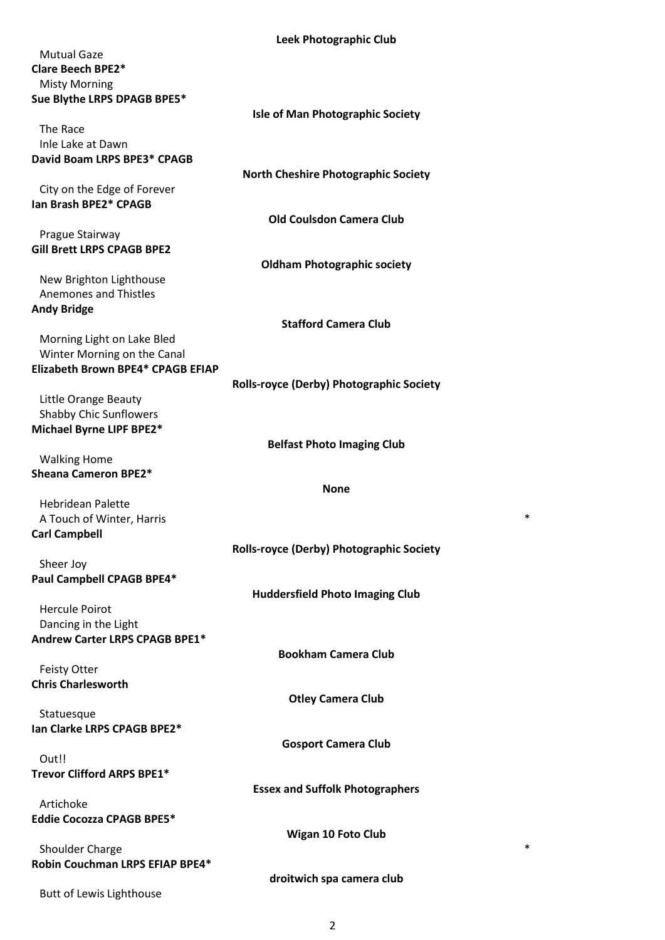|                                          | LEEN FIJOLOGI APITIC CIUD                       |        |
|------------------------------------------|-------------------------------------------------|--------|
| <b>Mutual Gaze</b>                       |                                                 |        |
| <b>Clare Beech BPE2*</b>                 |                                                 |        |
|                                          |                                                 |        |
| <b>Misty Morning</b>                     |                                                 |        |
| Sue Blythe LRPS DPAGB BPE5*              |                                                 |        |
|                                          | <b>Isle of Man Photographic Society</b>         |        |
| The Race                                 |                                                 |        |
| Inle Lake at Dawn                        |                                                 |        |
| David Boam LRPS BPE3* CPAGB              |                                                 |        |
|                                          | <b>North Cheshire Photographic Society</b>      |        |
|                                          |                                                 |        |
| City on the Edge of Forever              |                                                 |        |
| Ian Brash BPE2* CPAGB                    |                                                 |        |
|                                          | <b>Old Coulsdon Camera Club</b>                 |        |
| Prague Stairway                          |                                                 |        |
| <b>Gill Brett LRPS CPAGB BPE2</b>        |                                                 |        |
|                                          | <b>Oldham Photographic society</b>              |        |
| New Brighton Lighthouse                  |                                                 |        |
| <b>Anemones and Thistles</b>             |                                                 |        |
|                                          |                                                 |        |
| <b>Andy Bridge</b>                       |                                                 |        |
|                                          | <b>Stafford Camera Club</b>                     |        |
| Morning Light on Lake Bled               |                                                 |        |
| Winter Morning on the Canal              |                                                 |        |
| <b>Elizabeth Brown BPE4* CPAGB EFIAP</b> |                                                 |        |
|                                          | <b>Rolls-royce (Derby) Photographic Society</b> |        |
|                                          |                                                 |        |
| Little Orange Beauty                     |                                                 |        |
| <b>Shabby Chic Sunflowers</b>            |                                                 |        |
| Michael Byrne LIPF BPE2*                 |                                                 |        |
|                                          | <b>Belfast Photo Imaging Club</b>               |        |
| <b>Walking Home</b>                      |                                                 |        |
| <b>Sheana Cameron BPE2*</b>              |                                                 |        |
|                                          | <b>None</b>                                     |        |
| <b>Hebridean Palette</b>                 |                                                 |        |
|                                          |                                                 | $\ast$ |
| A Touch of Winter, Harris                |                                                 |        |
| <b>Carl Campbell</b>                     |                                                 |        |
|                                          | <b>Rolls-royce (Derby) Photographic Society</b> |        |
| Sheer Joy                                |                                                 |        |
| Paul Campbell CPAGB BPE4*                |                                                 |        |
|                                          | <b>Huddersfield Photo Imaging Club</b>          |        |
| <b>Hercule Poirot</b>                    |                                                 |        |
|                                          |                                                 |        |
| Dancing in the Light                     |                                                 |        |
| Andrew Carter LRPS CPAGB BPE1*           |                                                 |        |
|                                          | <b>Bookham Camera Club</b>                      |        |
| <b>Feisty Otter</b>                      |                                                 |        |
| <b>Chris Charlesworth</b>                |                                                 |        |
|                                          | <b>Otley Camera Club</b>                        |        |
| Statuesque                               |                                                 |        |
| Ian Clarke LRPS CPAGB BPE2*              |                                                 |        |
|                                          |                                                 |        |
|                                          | <b>Gosport Camera Club</b>                      |        |
| Out!!                                    |                                                 |        |
| Trevor Clifford ARPS BPE1*               |                                                 |        |
|                                          | <b>Essex and Suffolk Photographers</b>          |        |
| Artichoke                                |                                                 |        |
| <b>Eddie Cocozza CPAGB BPE5*</b>         |                                                 |        |
|                                          | <b>Wigan 10 Foto Club</b>                       |        |
|                                          |                                                 | *      |
| Shoulder Charge                          |                                                 |        |
| Robin Couchman LRPS EFIAP BPE4*          |                                                 |        |
|                                          | droitwich spa camera club                       |        |

Butt of Lewis Lighthouse

2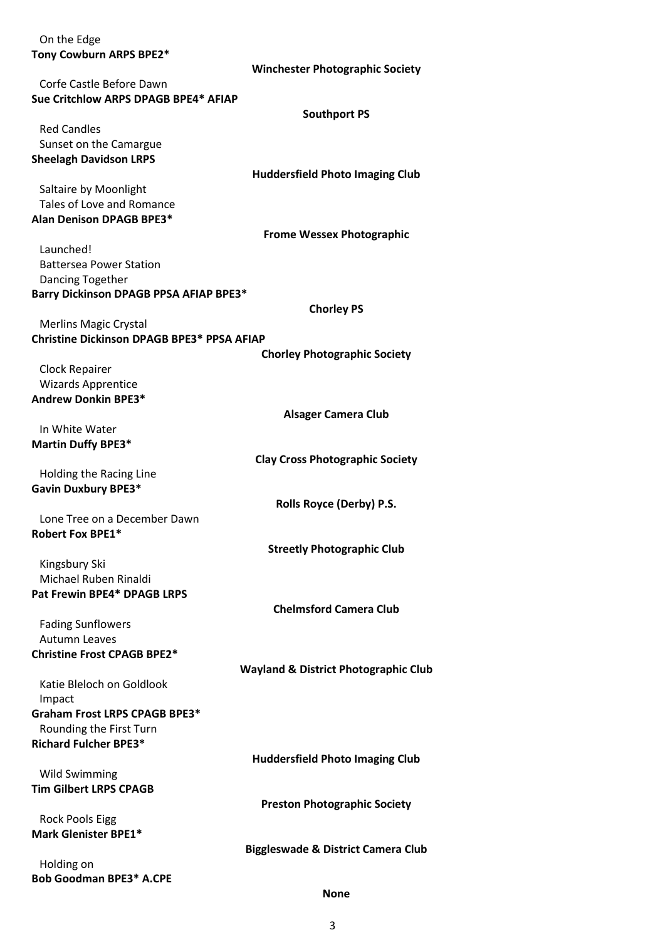| On the Edge<br>Tony Cowburn ARPS BPE2*                | <b>Winchester Photographic Society</b>          |
|-------------------------------------------------------|-------------------------------------------------|
| Corfe Castle Before Dawn                              |                                                 |
| Sue Critchlow ARPS DPAGB BPE4* AFIAP                  |                                                 |
|                                                       | <b>Southport PS</b>                             |
| <b>Red Candles</b>                                    |                                                 |
| Sunset on the Camargue                                |                                                 |
| <b>Sheelagh Davidson LRPS</b>                         |                                                 |
|                                                       | <b>Huddersfield Photo Imaging Club</b>          |
| Saltaire by Moonlight                                 |                                                 |
| Tales of Love and Romance                             |                                                 |
| <b>Alan Denison DPAGB BPE3*</b>                       |                                                 |
| Launched!                                             | <b>Frome Wessex Photographic</b>                |
| <b>Battersea Power Station</b>                        |                                                 |
| Dancing Together                                      |                                                 |
| Barry Dickinson DPAGB PPSA AFIAP BPE3*                |                                                 |
|                                                       | <b>Chorley PS</b>                               |
| <b>Merlins Magic Crystal</b>                          |                                                 |
| <b>Christine Dickinson DPAGB BPE3* PPSA AFIAP</b>     |                                                 |
|                                                       | <b>Chorley Photographic Society</b>             |
| <b>Clock Repairer</b>                                 |                                                 |
| <b>Wizards Apprentice</b>                             |                                                 |
| <b>Andrew Donkin BPE3*</b>                            |                                                 |
|                                                       | <b>Alsager Camera Club</b>                      |
| In White Water                                        |                                                 |
| <b>Martin Duffy BPE3*</b>                             |                                                 |
| Holding the Racing Line                               | <b>Clay Cross Photographic Society</b>          |
| <b>Gavin Duxbury BPE3*</b>                            |                                                 |
|                                                       | Rolls Royce (Derby) P.S.                        |
| Lone Tree on a December Dawn                          |                                                 |
| <b>Robert Fox BPE1*</b>                               |                                                 |
|                                                       | <b>Streetly Photographic Club</b>               |
| Kingsbury Ski                                         |                                                 |
| Michael Ruben Rinaldi                                 |                                                 |
| <b>Pat Frewin BPE4* DPAGB LRPS</b>                    |                                                 |
|                                                       | <b>Chelmsford Camera Club</b>                   |
| <b>Fading Sunflowers</b><br><b>Autumn Leaves</b>      |                                                 |
| <b>Christine Frost CPAGB BPE2*</b>                    |                                                 |
|                                                       | <b>Wayland &amp; District Photographic Club</b> |
| Katie Bleloch on Goldlook                             |                                                 |
| Impact                                                |                                                 |
| Graham Frost LRPS CPAGB BPE3*                         |                                                 |
| Rounding the First Turn                               |                                                 |
| <b>Richard Fulcher BPE3*</b>                          |                                                 |
|                                                       | <b>Huddersfield Photo Imaging Club</b>          |
| <b>Wild Swimming</b>                                  |                                                 |
| <b>Tim Gilbert LRPS CPAGB</b>                         |                                                 |
|                                                       | <b>Preston Photographic Society</b>             |
| <b>Rock Pools Eigg</b><br><b>Mark Glenister BPE1*</b> |                                                 |
|                                                       | <b>Biggleswade &amp; District Camera Club</b>   |
| Holding on                                            |                                                 |
| <b>Bob Goodman BPE3* A.CPE</b>                        |                                                 |
|                                                       | <b>None</b>                                     |

3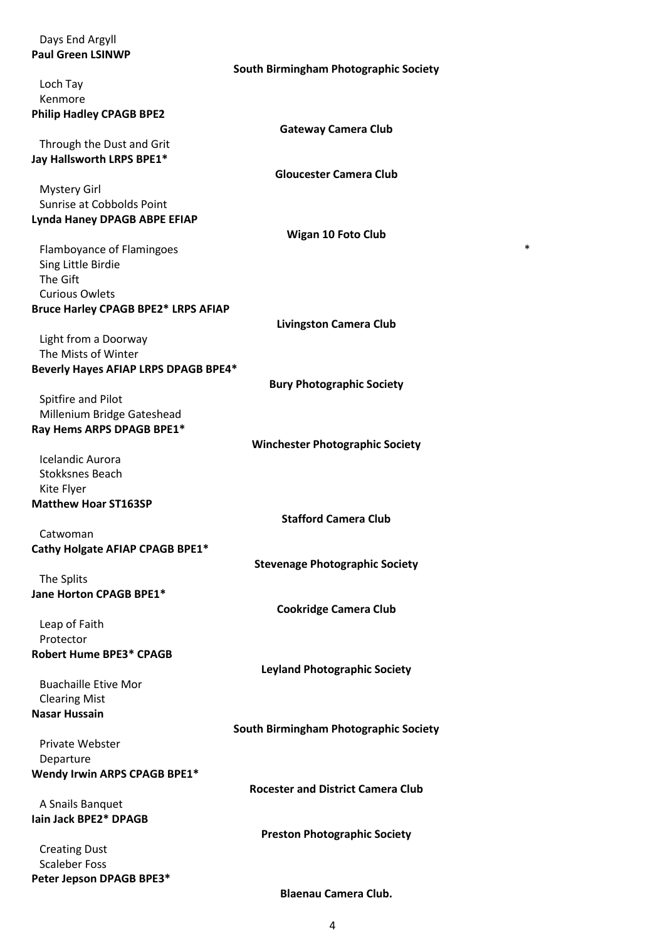| Days End Argyll<br><b>Paul Green LSINWP</b>      |                                          |
|--------------------------------------------------|------------------------------------------|
|                                                  | South Birmingham Photographic Society    |
| Loch Tay                                         |                                          |
| Kenmore                                          |                                          |
| <b>Philip Hadley CPAGB BPE2</b>                  |                                          |
|                                                  | <b>Gateway Camera Club</b>               |
| Through the Dust and Grit                        |                                          |
| Jay Hallsworth LRPS BPE1*                        |                                          |
|                                                  | <b>Gloucester Camera Club</b>            |
| <b>Mystery Girl</b><br>Sunrise at Cobbolds Point |                                          |
| Lynda Haney DPAGB ABPE EFIAP                     |                                          |
|                                                  | <b>Wigan 10 Foto Club</b>                |
| Flamboyance of Flamingoes                        | *                                        |
| Sing Little Birdie                               |                                          |
| The Gift                                         |                                          |
| <b>Curious Owlets</b>                            |                                          |
| <b>Bruce Harley CPAGB BPE2* LRPS AFIAP</b>       |                                          |
|                                                  | <b>Livingston Camera Club</b>            |
| Light from a Doorway<br>The Mists of Winter      |                                          |
| Beverly Hayes AFIAP LRPS DPAGB BPE4*             |                                          |
|                                                  | <b>Bury Photographic Society</b>         |
| Spitfire and Pilot                               |                                          |
| Millenium Bridge Gateshead                       |                                          |
| Ray Hems ARPS DPAGB BPE1*                        |                                          |
|                                                  | <b>Winchester Photographic Society</b>   |
| <b>Icelandic Aurora</b>                          |                                          |
| <b>Stokksnes Beach</b>                           |                                          |
| Kite Flyer<br><b>Matthew Hoar ST163SP</b>        |                                          |
|                                                  | <b>Stafford Camera Club</b>              |
| Catwoman                                         |                                          |
| Cathy Holgate AFIAP CPAGB BPE1*                  |                                          |
|                                                  | <b>Stevenage Photographic Society</b>    |
| The Splits                                       |                                          |
| Jane Horton CPAGB BPE1*                          |                                          |
|                                                  | <b>Cookridge Camera Club</b>             |
| Leap of Faith                                    |                                          |
| Protector<br><b>Robert Hume BPE3* CPAGB</b>      |                                          |
|                                                  | <b>Leyland Photographic Society</b>      |
| <b>Buachaille Etive Mor</b>                      |                                          |
| <b>Clearing Mist</b>                             |                                          |
| <b>Nasar Hussain</b>                             |                                          |
|                                                  | South Birmingham Photographic Society    |
| <b>Private Webster</b>                           |                                          |
| Departure                                        |                                          |
| <b>Wendy Irwin ARPS CPAGB BPE1*</b>              |                                          |
|                                                  | <b>Rocester and District Camera Club</b> |
| A Snails Banquet<br>lain Jack BPE2* DPAGB        |                                          |
|                                                  | <b>Preston Photographic Society</b>      |
| <b>Creating Dust</b>                             |                                          |
| <b>Scaleber Foss</b>                             |                                          |
| Peter Jepson DPAGB BPE3*                         |                                          |
|                                                  | <b>Blaenau Camera Club.</b>              |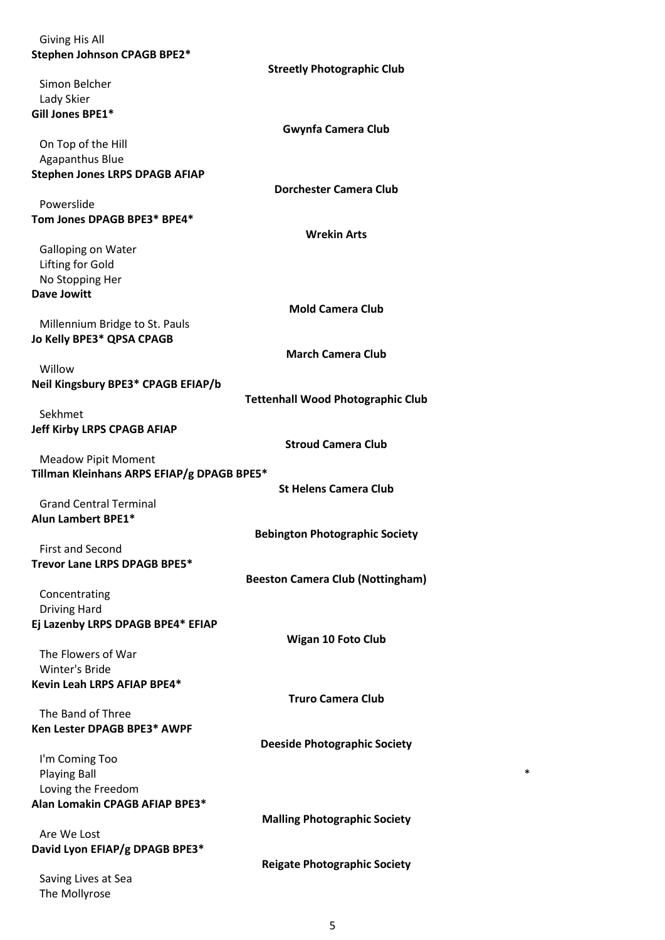| <b>Giving His All</b>                                                    |                                          |
|--------------------------------------------------------------------------|------------------------------------------|
| Stephen Johnson CPAGB BPE2*                                              |                                          |
|                                                                          | <b>Streetly Photographic Club</b>        |
| Simon Belcher                                                            |                                          |
| Lady Skier                                                               |                                          |
| Gill Jones BPE1*                                                         | <b>Gwynfa Camera Club</b>                |
| On Top of the Hill                                                       |                                          |
| Agapanthus Blue                                                          |                                          |
| <b>Stephen Jones LRPS DPAGB AFIAP</b>                                    |                                          |
|                                                                          | <b>Dorchester Camera Club</b>            |
| Powerslide                                                               |                                          |
| Tom Jones DPAGB BPE3* BPE4*                                              |                                          |
|                                                                          | <b>Wrekin Arts</b>                       |
| <b>Galloping on Water</b>                                                |                                          |
| Lifting for Gold                                                         |                                          |
| No Stopping Her<br><b>Dave Jowitt</b>                                    |                                          |
|                                                                          | <b>Mold Camera Club</b>                  |
| Millennium Bridge to St. Pauls                                           |                                          |
| Jo Kelly BPE3* QPSA CPAGB                                                |                                          |
|                                                                          | <b>March Camera Club</b>                 |
| Willow                                                                   |                                          |
| Neil Kingsbury BPE3* CPAGB EFIAP/b                                       |                                          |
|                                                                          | <b>Tettenhall Wood Photographic Club</b> |
| Sekhmet                                                                  |                                          |
| <b>Jeff Kirby LRPS CPAGB AFIAP</b>                                       |                                          |
|                                                                          | <b>Stroud Camera Club</b>                |
| <b>Meadow Pipit Moment</b><br>Tillman Kleinhans ARPS EFIAP/g DPAGB BPE5* |                                          |
|                                                                          | <b>St Helens Camera Club</b>             |
| <b>Grand Central Terminal</b>                                            |                                          |
| <b>Alun Lambert BPE1*</b>                                                |                                          |
|                                                                          | <b>Bebington Photographic Society</b>    |
| <b>First and Second</b>                                                  |                                          |
| Trevor Lane LRPS DPAGB BPE5*                                             |                                          |
|                                                                          | <b>Beeston Camera Club (Nottingham)</b>  |
| Concentrating                                                            |                                          |
| <b>Driving Hard</b>                                                      |                                          |
| Ej Lazenby LRPS DPAGB BPE4* EFIAP                                        |                                          |
| The Flowers of War                                                       | Wigan 10 Foto Club                       |
| Winter's Bride                                                           |                                          |
| Kevin Leah LRPS AFIAP BPE4*                                              |                                          |
|                                                                          | <b>Truro Camera Club</b>                 |
| The Band of Three                                                        |                                          |
| Ken Lester DPAGB BPE3* AWPF                                              |                                          |
|                                                                          | <b>Deeside Photographic Society</b>      |
| I'm Coming Too                                                           |                                          |
| <b>Playing Ball</b>                                                      | *                                        |
| Loving the Freedom                                                       |                                          |
| Alan Lomakin CPAGB AFIAP BPE3*                                           | <b>Malling Photographic Society</b>      |
| Are We Lost                                                              |                                          |
| David Lyon EFIAP/g DPAGB BPE3*                                           |                                          |
|                                                                          | <b>Reigate Photographic Society</b>      |
| Saving Lives at Sea                                                      |                                          |
| The Mollyrose                                                            |                                          |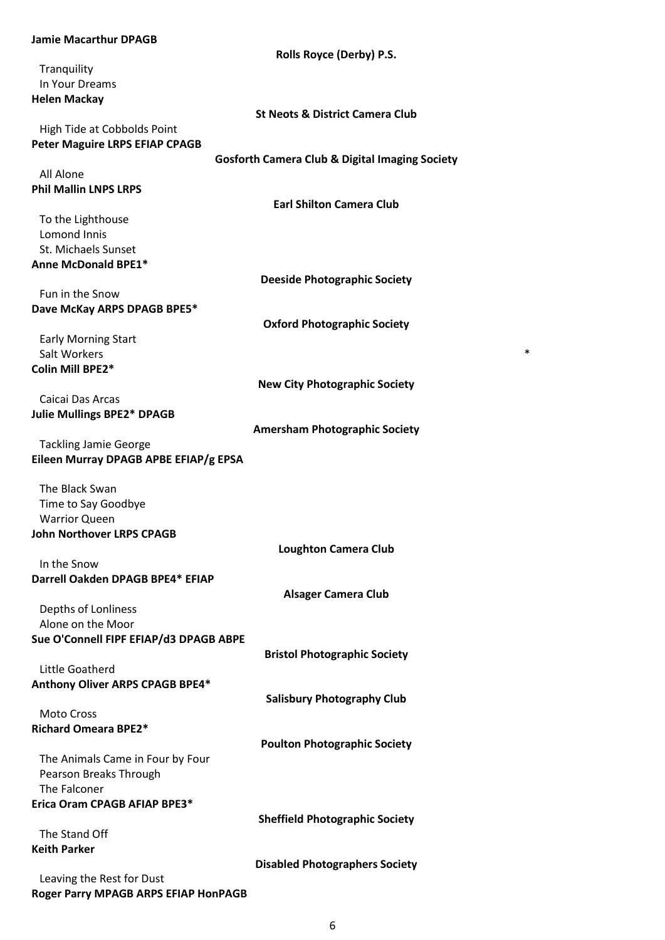| <b>Jamie Macarthur DPAGB</b>           |                                                           |
|----------------------------------------|-----------------------------------------------------------|
|                                        | Rolls Royce (Derby) P.S.                                  |
| Tranquility                            |                                                           |
| In Your Dreams                         |                                                           |
| <b>Helen Mackay</b>                    |                                                           |
|                                        | <b>St Neots &amp; District Camera Club</b>                |
| High Tide at Cobbolds Point            |                                                           |
| <b>Peter Maguire LRPS EFIAP CPAGB</b>  |                                                           |
|                                        | <b>Gosforth Camera Club &amp; Digital Imaging Society</b> |
| All Alone                              |                                                           |
| <b>Phil Mallin LNPS LRPS</b>           |                                                           |
|                                        | <b>Earl Shilton Camera Club</b>                           |
| To the Lighthouse                      |                                                           |
| Lomond Innis                           |                                                           |
| St. Michaels Sunset                    |                                                           |
| Anne McDonald BPE1*                    |                                                           |
|                                        | <b>Deeside Photographic Society</b>                       |
| Fun in the Snow                        |                                                           |
| Dave McKay ARPS DPAGB BPE5*            |                                                           |
|                                        | <b>Oxford Photographic Society</b>                        |
|                                        |                                                           |
| <b>Early Morning Start</b>             | $\ast$                                                    |
| Salt Workers                           |                                                           |
| Colin Mill BPE2*                       |                                                           |
|                                        | <b>New City Photographic Society</b>                      |
| Caicai Das Arcas                       |                                                           |
| <b>Julie Mullings BPE2* DPAGB</b>      |                                                           |
|                                        | <b>Amersham Photographic Society</b>                      |
| <b>Tackling Jamie George</b>           |                                                           |
| Eileen Murray DPAGB APBE EFIAP/g EPSA  |                                                           |
|                                        |                                                           |
| The Black Swan                         |                                                           |
| Time to Say Goodbye                    |                                                           |
| <b>Warrior Queen</b>                   |                                                           |
| <b>John Northover LRPS CPAGB</b>       |                                                           |
|                                        | <b>Loughton Camera Club</b>                               |
| In the Snow                            |                                                           |
| Darrell Oakden DPAGB BPE4* EFIAP       |                                                           |
|                                        | <b>Alsager Camera Club</b>                                |
| Depths of Lonliness                    |                                                           |
| Alone on the Moor                      |                                                           |
| Sue O'Connell FIPF EFIAP/d3 DPAGB ABPE |                                                           |
|                                        | <b>Bristol Photographic Society</b>                       |
| Little Goatherd                        |                                                           |
| Anthony Oliver ARPS CPAGB BPE4*        |                                                           |
|                                        | <b>Salisbury Photography Club</b>                         |
| <b>Moto Cross</b>                      |                                                           |
| <b>Richard Omeara BPE2*</b>            |                                                           |
|                                        | <b>Poulton Photographic Society</b>                       |
| The Animals Came in Four by Four       |                                                           |
| Pearson Breaks Through                 |                                                           |
| The Falconer                           |                                                           |
| Erica Oram CPAGB AFIAP BPE3*           |                                                           |
|                                        | <b>Sheffield Photographic Society</b>                     |
| The Stand Off                          |                                                           |
| <b>Keith Parker</b>                    |                                                           |
|                                        | <b>Disabled Photographers Society</b>                     |
| Leaving the Rest for Dust              |                                                           |
|                                        |                                                           |

**Roger Parry MPAGB ARPS EFIAP HonPAGB**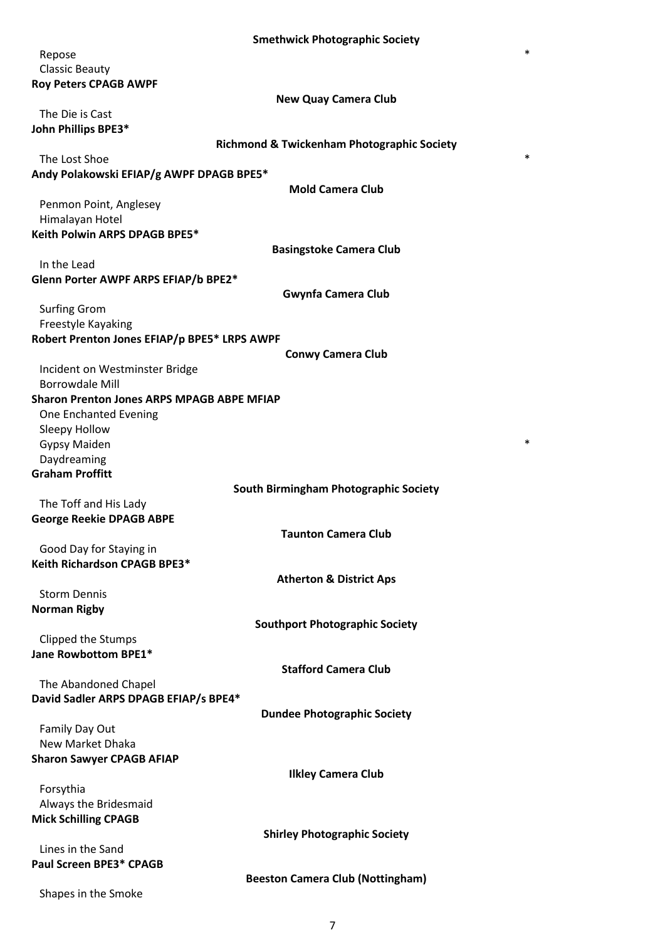|                                                   | SINGUNULA PHOLOGI APHIL SOLIGLY                       |   |
|---------------------------------------------------|-------------------------------------------------------|---|
| Repose                                            |                                                       | * |
| <b>Classic Beauty</b>                             |                                                       |   |
| <b>Roy Peters CPAGB AWPF</b>                      |                                                       |   |
|                                                   | <b>New Quay Camera Club</b>                           |   |
| The Die is Cast                                   |                                                       |   |
|                                                   |                                                       |   |
| John Phillips BPE3*                               |                                                       |   |
|                                                   | <b>Richmond &amp; Twickenham Photographic Society</b> | * |
| The Lost Shoe                                     |                                                       |   |
| Andy Polakowski EFIAP/g AWPF DPAGB BPE5*          |                                                       |   |
|                                                   | <b>Mold Camera Club</b>                               |   |
| Penmon Point, Anglesey                            |                                                       |   |
| Himalayan Hotel                                   |                                                       |   |
| Keith Polwin ARPS DPAGB BPE5*                     |                                                       |   |
|                                                   | <b>Basingstoke Camera Club</b>                        |   |
| In the Lead                                       |                                                       |   |
| Glenn Porter AWPF ARPS EFIAP/b BPE2*              |                                                       |   |
|                                                   | <b>Gwynfa Camera Club</b>                             |   |
| <b>Surfing Grom</b>                               |                                                       |   |
| Freestyle Kayaking                                |                                                       |   |
| Robert Prenton Jones EFIAP/p BPE5* LRPS AWPF      |                                                       |   |
|                                                   | <b>Conwy Camera Club</b>                              |   |
| Incident on Westminster Bridge                    |                                                       |   |
| <b>Borrowdale Mill</b>                            |                                                       |   |
| <b>Sharon Prenton Jones ARPS MPAGB ABPE MFIAP</b> |                                                       |   |
|                                                   |                                                       |   |
| One Enchanted Evening                             |                                                       |   |
| Sleepy Hollow                                     |                                                       | * |
| <b>Gypsy Maiden</b>                               |                                                       |   |
| Daydreaming<br><b>Graham Proffitt</b>             |                                                       |   |
|                                                   |                                                       |   |
|                                                   | South Birmingham Photographic Society                 |   |
| The Toff and His Lady                             |                                                       |   |
| <b>George Reekie DPAGB ABPE</b>                   |                                                       |   |
|                                                   | <b>Taunton Camera Club</b>                            |   |
| Good Day for Staying in                           |                                                       |   |
| Keith Richardson CPAGB BPE3*                      |                                                       |   |
|                                                   | <b>Atherton &amp; District Aps</b>                    |   |
| <b>Storm Dennis</b>                               |                                                       |   |
| <b>Norman Rigby</b>                               |                                                       |   |
|                                                   | <b>Southport Photographic Society</b>                 |   |
| Clipped the Stumps                                |                                                       |   |
| Jane Rowbottom BPE1*                              |                                                       |   |
|                                                   | <b>Stafford Camera Club</b>                           |   |
| The Abandoned Chapel                              |                                                       |   |
| David Sadler ARPS DPAGB EFIAP/s BPE4*             |                                                       |   |
|                                                   | <b>Dundee Photographic Society</b>                    |   |
| Family Day Out                                    |                                                       |   |
| New Market Dhaka                                  |                                                       |   |
| <b>Sharon Sawyer CPAGB AFIAP</b>                  |                                                       |   |
|                                                   | <b>Ilkley Camera Club</b>                             |   |
| Forsythia                                         |                                                       |   |
| Always the Bridesmaid                             |                                                       |   |
| <b>Mick Schilling CPAGB</b>                       |                                                       |   |
|                                                   | <b>Shirley Photographic Society</b>                   |   |
| Lines in the Sand                                 |                                                       |   |
| Paul Screen BPE3* CPAGB                           |                                                       |   |
|                                                   | <b>Beeston Camera Club (Nottingham)</b>               |   |
|                                                   |                                                       |   |
| Shapes in the Smoke                               |                                                       |   |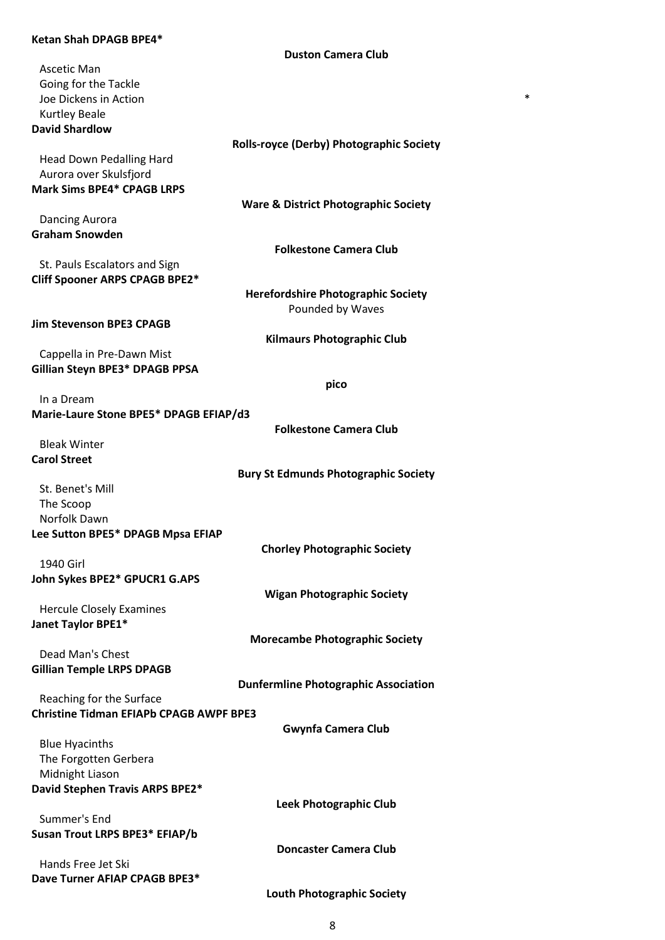### **Ketan Shah DPAGB BPE4\***

|                                                             | <b>Duston Camera Club</b>                       |
|-------------------------------------------------------------|-------------------------------------------------|
| Ascetic Man                                                 |                                                 |
| Going for the Tackle                                        |                                                 |
| Joe Dickens in Action                                       | *                                               |
| <b>Kurtley Beale</b>                                        |                                                 |
| <b>David Shardlow</b>                                       |                                                 |
|                                                             | <b>Rolls-royce (Derby) Photographic Society</b> |
| Head Down Pedalling Hard                                    |                                                 |
| Aurora over Skulsfjord<br><b>Mark Sims BPE4* CPAGB LRPS</b> |                                                 |
|                                                             | <b>Ware &amp; District Photographic Society</b> |
| Dancing Aurora                                              |                                                 |
| <b>Graham Snowden</b>                                       |                                                 |
|                                                             | <b>Folkestone Camera Club</b>                   |
| St. Pauls Escalators and Sign                               |                                                 |
| Cliff Spooner ARPS CPAGB BPE2*                              |                                                 |
|                                                             | <b>Herefordshire Photographic Society</b>       |
|                                                             | Pounded by Waves                                |
| <b>Jim Stevenson BPE3 CPAGB</b>                             |                                                 |
|                                                             | <b>Kilmaurs Photographic Club</b>               |
| Cappella in Pre-Dawn Mist                                   |                                                 |
| Gillian Steyn BPE3* DPAGB PPSA                              |                                                 |
|                                                             | pico                                            |
| In a Dream                                                  |                                                 |
| Marie-Laure Stone BPE5* DPAGB EFIAP/d3                      |                                                 |
|                                                             | <b>Folkestone Camera Club</b>                   |
| <b>Bleak Winter</b>                                         |                                                 |
| <b>Carol Street</b>                                         | <b>Bury St Edmunds Photographic Society</b>     |
| St. Benet's Mill                                            |                                                 |
| The Scoop                                                   |                                                 |
| Norfolk Dawn                                                |                                                 |
| Lee Sutton BPE5* DPAGB Mpsa EFIAP                           |                                                 |
|                                                             | <b>Chorley Photographic Society</b>             |
| 1940 Girl                                                   |                                                 |
| John Sykes BPE2* GPUCR1 G.APS                               |                                                 |
|                                                             | <b>Wigan Photographic Society</b>               |
| <b>Hercule Closely Examines</b>                             |                                                 |
| Janet Taylor BPE1*                                          |                                                 |
|                                                             | <b>Morecambe Photographic Society</b>           |
| Dead Man's Chest                                            |                                                 |
| <b>Gillian Temple LRPS DPAGB</b>                            |                                                 |
|                                                             | <b>Dunfermline Photographic Association</b>     |
| Reaching for the Surface                                    |                                                 |
| <b>Christine Tidman EFIAPb CPAGB AWPF BPE3</b>              |                                                 |
|                                                             | <b>Gwynfa Camera Club</b>                       |
| <b>Blue Hyacinths</b><br>The Forgotten Gerbera              |                                                 |
| Midnight Liason                                             |                                                 |
| David Stephen Travis ARPS BPE2*                             |                                                 |
|                                                             | <b>Leek Photographic Club</b>                   |
| Summer's End                                                |                                                 |
| Susan Trout LRPS BPE3* EFIAP/b                              |                                                 |
|                                                             | <b>Doncaster Camera Club</b>                    |
| Hands Free Jet Ski                                          |                                                 |
| Dave Turner AFIAP CPAGB BPE3*                               |                                                 |
|                                                             | <b>Louth Photographic Society</b>               |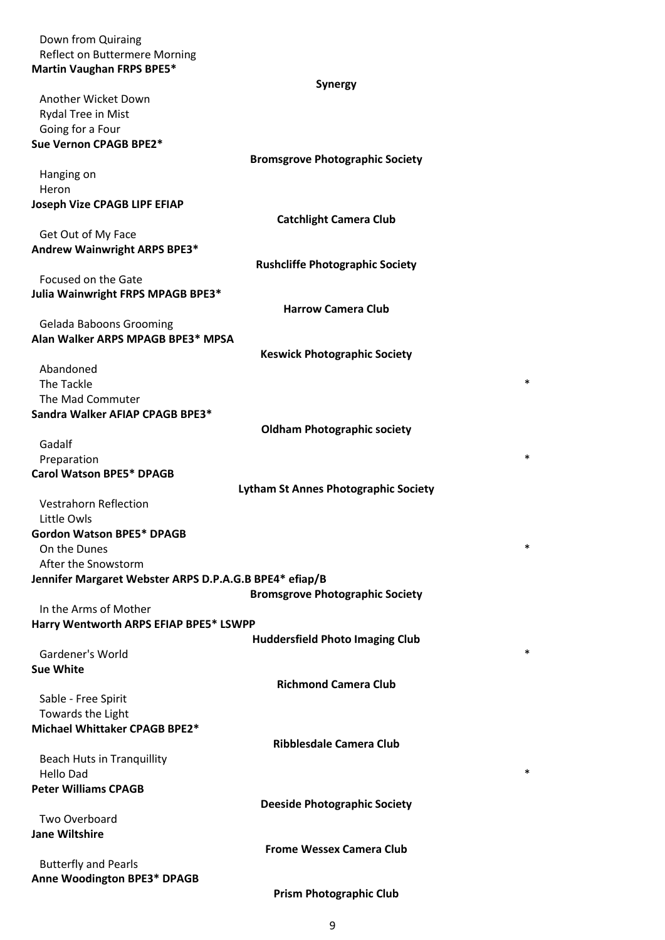Down from Quiraing Reflect on Buttermere Morning **Martin Vaughan FRPS BPE5\***

## **Synergy**

| Another Wicket Down                                    |                                             |
|--------------------------------------------------------|---------------------------------------------|
| Rydal Tree in Mist                                     |                                             |
| Going for a Four                                       |                                             |
| Sue Vernon CPAGB BPE2*                                 |                                             |
|                                                        |                                             |
|                                                        | <b>Bromsgrove Photographic Society</b>      |
| Hanging on                                             |                                             |
| Heron                                                  |                                             |
| <b>Joseph Vize CPAGB LIPF EFIAP</b>                    |                                             |
|                                                        | <b>Catchlight Camera Club</b>               |
| Get Out of My Face                                     |                                             |
| Andrew Wainwright ARPS BPE3*                           |                                             |
|                                                        | <b>Rushcliffe Photographic Society</b>      |
| Focused on the Gate                                    |                                             |
| Julia Wainwright FRPS MPAGB BPE3*                      |                                             |
|                                                        | <b>Harrow Camera Club</b>                   |
| <b>Gelada Baboons Grooming</b>                         |                                             |
| Alan Walker ARPS MPAGB BPE3* MPSA                      |                                             |
|                                                        | <b>Keswick Photographic Society</b>         |
| Abandoned                                              |                                             |
| The Tackle                                             | *                                           |
| The Mad Commuter                                       |                                             |
| Sandra Walker AFIAP CPAGB BPE3*                        |                                             |
|                                                        |                                             |
| Gadalf                                                 | <b>Oldham Photographic society</b>          |
|                                                        | *                                           |
| Preparation                                            |                                             |
| <b>Carol Watson BPE5* DPAGB</b>                        |                                             |
|                                                        | <b>Lytham St Annes Photographic Society</b> |
| <b>Vestrahorn Reflection</b>                           |                                             |
| Little Owls                                            |                                             |
| <b>Gordon Watson BPE5* DPAGB</b>                       |                                             |
| On the Dunes                                           | *                                           |
| After the Snowstorm                                    |                                             |
| Jennifer Margaret Webster ARPS D.P.A.G.B BPE4* efiap/B |                                             |
|                                                        | <b>Bromsgrove Photographic Society</b>      |
| In the Arms of Mother                                  |                                             |
| Harry Wentworth ARPS EFIAP BPE5* LSWPP                 |                                             |
|                                                        | <b>Huddersfield Photo Imaging Club</b>      |
| Gardener's World                                       | *                                           |
| <b>Sue White</b>                                       |                                             |
|                                                        | <b>Richmond Camera Club</b>                 |
| Sable - Free Spirit                                    |                                             |
| Towards the Light                                      |                                             |
| Michael Whittaker CPAGB BPE2*                          |                                             |
|                                                        | <b>Ribblesdale Camera Club</b>              |
|                                                        |                                             |
| <b>Beach Huts in Tranquillity</b><br><b>Hello Dad</b>  | *                                           |
| <b>Peter Williams CPAGB</b>                            |                                             |
|                                                        |                                             |
|                                                        | <b>Deeside Photographic Society</b>         |
| Two Overboard                                          |                                             |
| <b>Jane Wiltshire</b>                                  |                                             |
|                                                        | <b>Frome Wessex Camera Club</b>             |
| <b>Butterfly and Pearls</b>                            |                                             |
| <b>Anne Woodington BPE3* DPAGB</b>                     |                                             |
|                                                        | <b>Prism Photographic Club</b>              |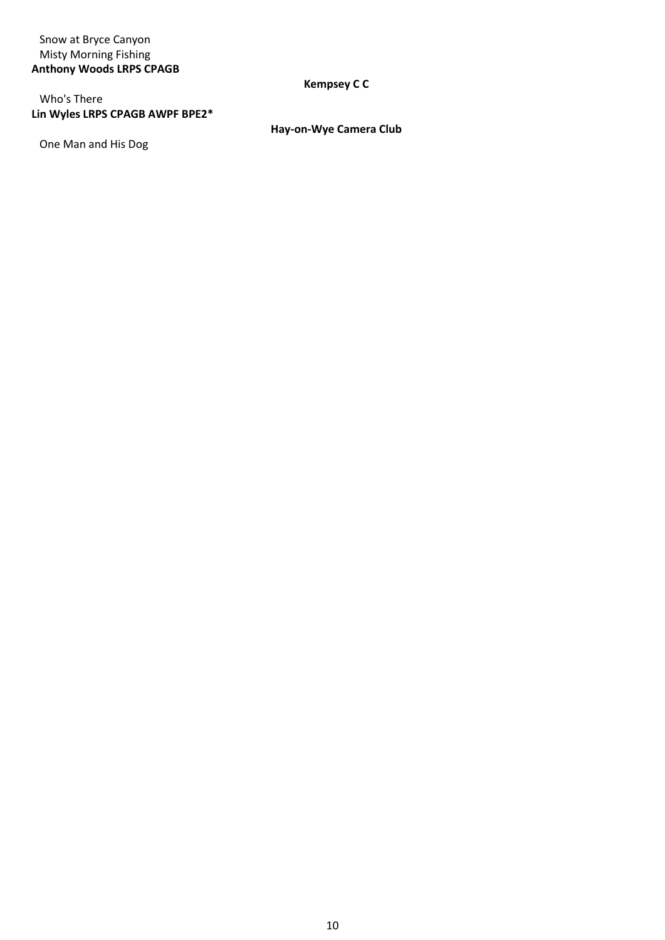# Snow at Bryce Canyon Misty Morning Fishing **Anthony Woods LRPS CPAGB**

# Who's There **Lin Wyles LRPS CPAGB AWPF BPE2\***

One Man and His Dog

# **Kempsey C C**

**Hay-on-Wye Camera Club**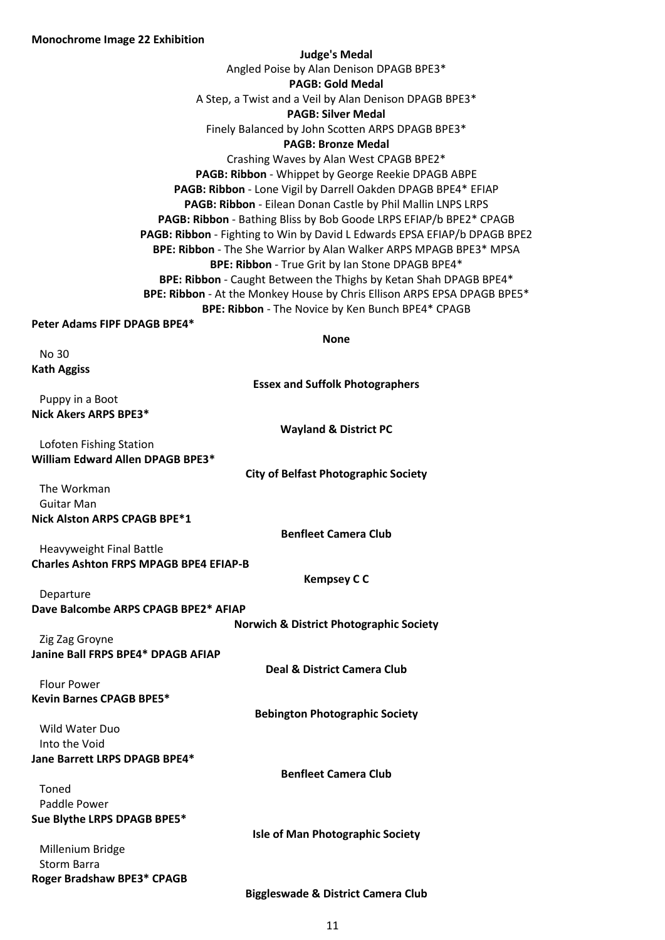**Roger Bradshaw BPE3\* CPAGB**

| <b>Monochrome Image 22 Exhibition</b>                                         |
|-------------------------------------------------------------------------------|
| <b>Judge's Medal</b>                                                          |
| Angled Poise by Alan Denison DPAGB BPE3*                                      |
| <b>PAGB: Gold Medal</b>                                                       |
| A Step, a Twist and a Veil by Alan Denison DPAGB BPE3*                        |
| <b>PAGB: Silver Medal</b>                                                     |
| Finely Balanced by John Scotten ARPS DPAGB BPE3*<br><b>PAGB: Bronze Medal</b> |
| Crashing Waves by Alan West CPAGB BPE2*                                       |
| PAGB: Ribbon - Whippet by George Reekie DPAGB ABPE                            |
| PAGB: Ribbon - Lone Vigil by Darrell Oakden DPAGB BPE4* EFIAP                 |
| PAGB: Ribbon - Eilean Donan Castle by Phil Mallin LNPS LRPS                   |
| PAGB: Ribbon - Bathing Bliss by Bob Goode LRPS EFIAP/b BPE2* CPAGB            |
| PAGB: Ribbon - Fighting to Win by David L Edwards EPSA EFIAP/b DPAGB BPE2     |
| BPE: Ribbon - The She Warrior by Alan Walker ARPS MPAGB BPE3* MPSA            |
| BPE: Ribbon - True Grit by Ian Stone DPAGB BPE4*                              |
| BPE: Ribbon - Caught Between the Thighs by Ketan Shah DPAGB BPE4*             |
| BPE: Ribbon - At the Monkey House by Chris Ellison ARPS EPSA DPAGB BPE5*      |
| BPE: Ribbon - The Novice by Ken Bunch BPE4* CPAGB                             |
| Peter Adams FIPF DPAGB BPE4*                                                  |
| <b>None</b>                                                                   |
| No 30                                                                         |
| <b>Kath Aggiss</b>                                                            |
| <b>Essex and Suffolk Photographers</b>                                        |
| Puppy in a Boot<br>Nick Akers ARPS BPE3*                                      |
| <b>Wayland &amp; District PC</b>                                              |
| Lofoten Fishing Station                                                       |
| William Edward Allen DPAGB BPE3*                                              |
| <b>City of Belfast Photographic Society</b>                                   |
| The Workman                                                                   |
| <b>Guitar Man</b>                                                             |
| Nick Alston ARPS CPAGB BPE*1                                                  |
| <b>Benfleet Camera Club</b>                                                   |
| Heavyweight Final Battle                                                      |
| <b>Charles Ashton FRPS MPAGB BPE4 EFIAP-B</b>                                 |
| <b>Kempsey C C</b>                                                            |
| Departure                                                                     |
| Dave Balcombe ARPS CPAGB BPE2* AFIAP                                          |
| <b>Norwich &amp; District Photographic Society</b>                            |
| Zig Zag Groyne                                                                |
| Janine Ball FRPS BPE4* DPAGB AFIAP                                            |
| Deal & District Camera Club                                                   |
| <b>Flour Power</b><br><b>Kevin Barnes CPAGB BPE5*</b>                         |
| <b>Bebington Photographic Society</b>                                         |
| Wild Water Duo                                                                |
| Into the Void                                                                 |
| Jane Barrett LRPS DPAGB BPE4*                                                 |
| <b>Benfleet Camera Club</b>                                                   |
| Toned                                                                         |
| Paddle Power                                                                  |
| Sue Blythe LRPS DPAGB BPE5*                                                   |
| <b>Isle of Man Photographic Society</b>                                       |
| Millenium Bridge                                                              |
| Storm Barra                                                                   |

**Biggleswade & District Camera Club**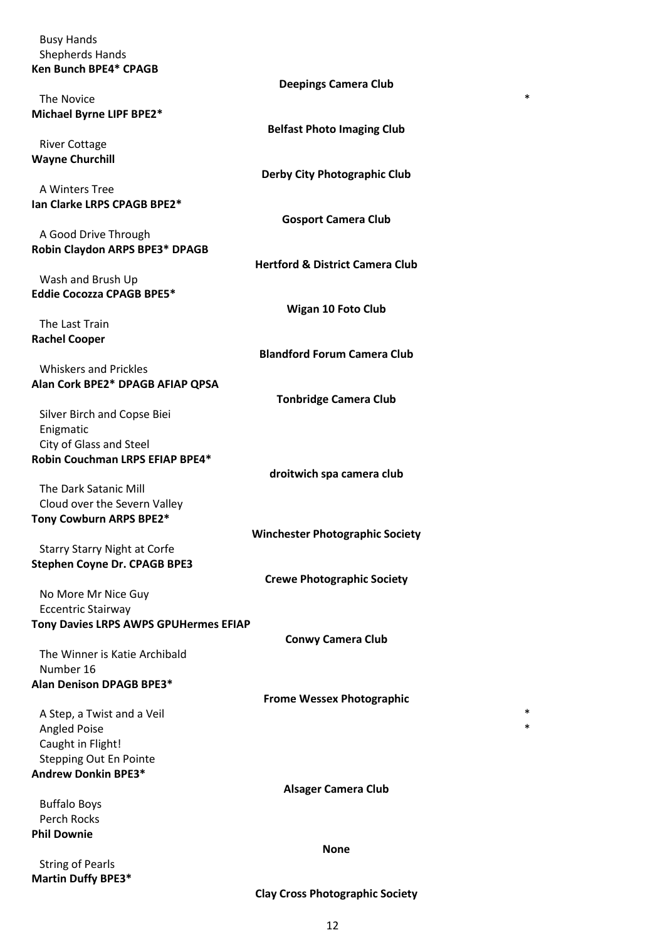| <b>Busy Hands</b>     |  |
|-----------------------|--|
| Shepherds Hands       |  |
| Ken Bunch BPE4* CPAGB |  |
|                       |  |

|                                              | <b>Deepings Camera Club</b>                |
|----------------------------------------------|--------------------------------------------|
| The Novice                                   | $\ast$                                     |
| Michael Byrne LIPF BPE2*                     |                                            |
|                                              | <b>Belfast Photo Imaging Club</b>          |
| <b>River Cottage</b>                         |                                            |
| <b>Wayne Churchill</b>                       |                                            |
|                                              | <b>Derby City Photographic Club</b>        |
| A Winters Tree                               |                                            |
| Ian Clarke LRPS CPAGB BPE2*                  |                                            |
|                                              | <b>Gosport Camera Club</b>                 |
| A Good Drive Through                         |                                            |
| Robin Claydon ARPS BPE3* DPAGB               |                                            |
|                                              | <b>Hertford &amp; District Camera Club</b> |
| Wash and Brush Up                            |                                            |
| <b>Eddie Cocozza CPAGB BPE5*</b>             |                                            |
|                                              | <b>Wigan 10 Foto Club</b>                  |
| The Last Train                               |                                            |
| <b>Rachel Cooper</b>                         |                                            |
|                                              | <b>Blandford Forum Camera Club</b>         |
| <b>Whiskers and Prickles</b>                 |                                            |
| Alan Cork BPE2* DPAGB AFIAP QPSA             |                                            |
|                                              | <b>Tonbridge Camera Club</b>               |
| Silver Birch and Copse Biei                  |                                            |
| Enigmatic                                    |                                            |
| City of Glass and Steel                      |                                            |
| Robin Couchman LRPS EFIAP BPE4*              |                                            |
|                                              | droitwich spa camera club                  |
| The Dark Satanic Mill                        |                                            |
| Cloud over the Severn Valley                 |                                            |
| Tony Cowburn ARPS BPE2*                      |                                            |
|                                              | <b>Winchester Photographic Society</b>     |
| <b>Starry Starry Night at Corfe</b>          |                                            |
| <b>Stephen Coyne Dr. CPAGB BPE3</b>          |                                            |
|                                              | <b>Crewe Photographic Society</b>          |
| No More Mr Nice Guy                          |                                            |
| <b>Eccentric Stairway</b>                    |                                            |
| <b>Tony Davies LRPS AWPS GPUHermes EFIAP</b> |                                            |
|                                              | <b>Conwy Camera Club</b>                   |
| The Winner is Katie Archibald                |                                            |
| Number 16                                    |                                            |
| Alan Denison DPAGB BPE3*                     |                                            |
|                                              | <b>Frome Wessex Photographic</b>           |
| A Step, a Twist and a Veil                   | $\ast$                                     |
| <b>Angled Poise</b>                          | $\ast$                                     |
|                                              |                                            |
| Caught in Flight!                            |                                            |
| <b>Stepping Out En Pointe</b>                |                                            |
| Andrew Donkin BPE3*                          |                                            |
|                                              | <b>Alsager Camera Club</b>                 |
| <b>Buffalo Boys</b>                          |                                            |
| Perch Rocks                                  |                                            |
| <b>Phil Downie</b>                           |                                            |
|                                              | <b>None</b>                                |

String of Pearls **Martin Duffy BPE3\***

# **Clay Cross Photographic Society**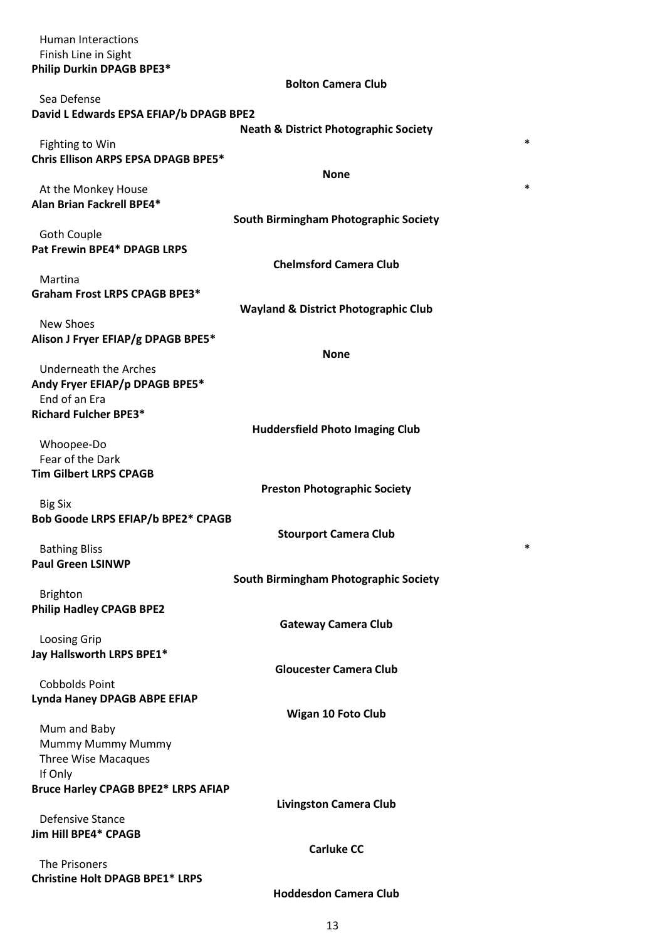| <b>Human Interactions</b>                            |                                                  |
|------------------------------------------------------|--------------------------------------------------|
| Finish Line in Sight                                 |                                                  |
| Philip Durkin DPAGB BPE3*                            |                                                  |
| Sea Defense                                          | <b>Bolton Camera Club</b>                        |
| David L Edwards EPSA EFIAP/b DPAGB BPE2              |                                                  |
|                                                      | <b>Neath &amp; District Photographic Society</b> |
| Fighting to Win                                      | *                                                |
| <b>Chris Ellison ARPS EPSA DPAGB BPE5*</b>           |                                                  |
|                                                      | <b>None</b>                                      |
| At the Monkey House                                  | $\ast$                                           |
| Alan Brian Fackrell BPE4*                            |                                                  |
|                                                      | South Birmingham Photographic Society            |
| <b>Goth Couple</b><br>Pat Frewin BPE4* DPAGB LRPS    |                                                  |
|                                                      | <b>Chelmsford Camera Club</b>                    |
| Martina                                              |                                                  |
| <b>Graham Frost LRPS CPAGB BPE3*</b>                 |                                                  |
|                                                      | <b>Wayland &amp; District Photographic Club</b>  |
| <b>New Shoes</b>                                     |                                                  |
| Alison J Fryer EFIAP/g DPAGB BPE5*                   |                                                  |
|                                                      | <b>None</b>                                      |
| Underneath the Arches                                |                                                  |
| Andy Fryer EFIAP/p DPAGB BPE5*<br>End of an Era      |                                                  |
| <b>Richard Fulcher BPE3*</b>                         |                                                  |
|                                                      | <b>Huddersfield Photo Imaging Club</b>           |
| Whoopee-Do                                           |                                                  |
| Fear of the Dark                                     |                                                  |
| <b>Tim Gilbert LRPS CPAGB</b>                        |                                                  |
|                                                      | <b>Preston Photographic Society</b>              |
| <b>Big Six</b><br>Bob Goode LRPS EFIAP/b BPE2* CPAGB |                                                  |
|                                                      | <b>Stourport Camera Club</b>                     |
| <b>Bathing Bliss</b>                                 | *                                                |
| <b>Paul Green LSINWP</b>                             |                                                  |
|                                                      | South Birmingham Photographic Society            |
| <b>Brighton</b>                                      |                                                  |
| <b>Philip Hadley CPAGB BPE2</b>                      |                                                  |
|                                                      | <b>Gateway Camera Club</b>                       |
| Loosing Grip<br>Jay Hallsworth LRPS BPE1*            |                                                  |
|                                                      | <b>Gloucester Camera Club</b>                    |
| <b>Cobbolds Point</b>                                |                                                  |
| Lynda Haney DPAGB ABPE EFIAP                         |                                                  |
|                                                      | <b>Wigan 10 Foto Club</b>                        |
| Mum and Baby                                         |                                                  |
| Mummy Mummy Mummy                                    |                                                  |
| Three Wise Macaques<br>If Only                       |                                                  |
| <b>Bruce Harley CPAGB BPE2* LRPS AFIAP</b>           |                                                  |
|                                                      | <b>Livingston Camera Club</b>                    |
| Defensive Stance                                     |                                                  |
| Jim Hill BPE4* CPAGB                                 |                                                  |
|                                                      | <b>Carluke CC</b>                                |
| The Prisoners                                        |                                                  |
| <b>Christine Holt DPAGB BPE1* LRPS</b>               | <b>Hoddesdon Camera Club</b>                     |
|                                                      |                                                  |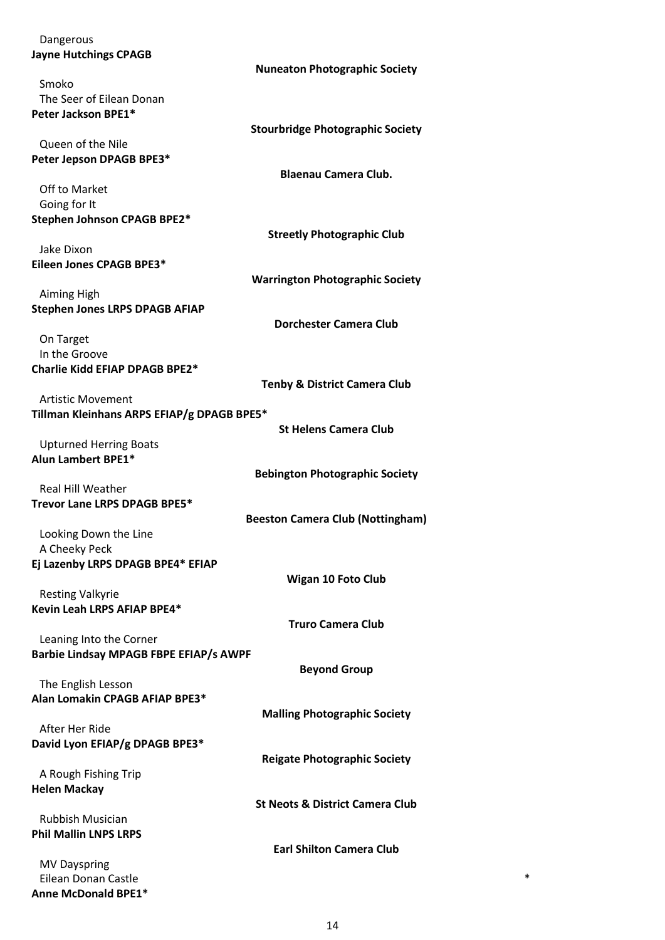| Dangerous                                     |                                            |
|-----------------------------------------------|--------------------------------------------|
| <b>Jayne Hutchings CPAGB</b>                  |                                            |
|                                               | <b>Nuneaton Photographic Society</b>       |
| Smoko                                         |                                            |
| The Seer of Eilean Donan                      |                                            |
| Peter Jackson BPE1*                           |                                            |
|                                               | <b>Stourbridge Photographic Society</b>    |
| Queen of the Nile                             |                                            |
| Peter Jepson DPAGB BPE3*                      |                                            |
|                                               | <b>Blaenau Camera Club.</b>                |
| Off to Market                                 |                                            |
| Going for It                                  |                                            |
| Stephen Johnson CPAGB BPE2*                   |                                            |
|                                               | <b>Streetly Photographic Club</b>          |
| Jake Dixon                                    |                                            |
| Eileen Jones CPAGB BPE3*                      |                                            |
|                                               | <b>Warrington Photographic Society</b>     |
| Aiming High                                   |                                            |
| <b>Stephen Jones LRPS DPAGB AFIAP</b>         |                                            |
|                                               | <b>Dorchester Camera Club</b>              |
| On Target                                     |                                            |
| In the Groove                                 |                                            |
| Charlie Kidd EFIAP DPAGB BPE2*                |                                            |
|                                               | <b>Tenby &amp; District Camera Club</b>    |
| <b>Artistic Movement</b>                      |                                            |
| Tillman Kleinhans ARPS EFIAP/g DPAGB BPE5*    |                                            |
|                                               | <b>St Helens Camera Club</b>               |
| <b>Upturned Herring Boats</b>                 |                                            |
| <b>Alun Lambert BPE1*</b>                     |                                            |
|                                               | <b>Bebington Photographic Society</b>      |
| Real Hill Weather                             |                                            |
| Trevor Lane LRPS DPAGB BPE5*                  |                                            |
|                                               | <b>Beeston Camera Club (Nottingham)</b>    |
| Looking Down the Line                         |                                            |
| A Cheeky Peck                                 |                                            |
| Ej Lazenby LRPS DPAGB BPE4* EFIAP             |                                            |
|                                               | <b>Wigan 10 Foto Club</b>                  |
| <b>Resting Valkyrie</b>                       |                                            |
| Kevin Leah LRPS AFIAP BPE4*                   |                                            |
|                                               | <b>Truro Camera Club</b>                   |
| Leaning Into the Corner                       |                                            |
| <b>Barbie Lindsay MPAGB FBPE EFIAP/s AWPF</b> |                                            |
|                                               | <b>Beyond Group</b>                        |
| The English Lesson                            |                                            |
| Alan Lomakin CPAGB AFIAP BPE3*                |                                            |
|                                               | <b>Malling Photographic Society</b>        |
| After Her Ride                                |                                            |
| David Lyon EFIAP/g DPAGB BPE3*                |                                            |
|                                               | <b>Reigate Photographic Society</b>        |
| A Rough Fishing Trip                          |                                            |
| <b>Helen Mackay</b>                           |                                            |
|                                               | <b>St Neots &amp; District Camera Club</b> |
| <b>Rubbish Musician</b>                       |                                            |
| <b>Phil Mallin LNPS LRPS</b>                  |                                            |
|                                               | <b>Earl Shilton Camera Club</b>            |
| <b>MV Dayspring</b>                           |                                            |
| Eilean Donan Castle                           | *                                          |
| Anne McDonald BPE1*                           |                                            |
|                                               |                                            |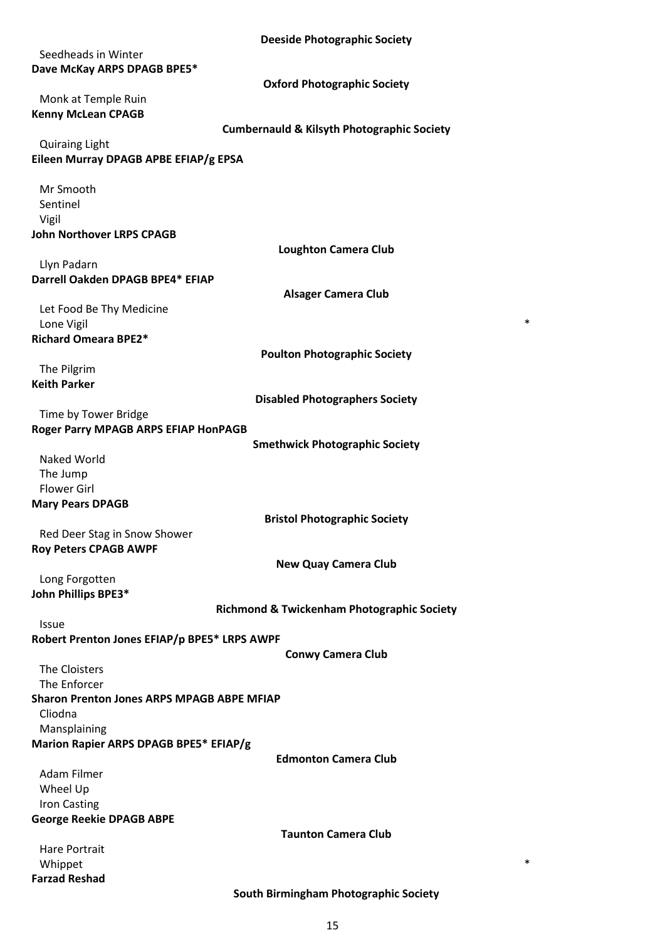| <b>Deeside Photographic Society</b>                                   |
|-----------------------------------------------------------------------|
| Seedheads in Winter                                                   |
| Dave McKay ARPS DPAGB BPE5*                                           |
| <b>Oxford Photographic Society</b>                                    |
| Monk at Temple Ruin                                                   |
| <b>Kenny McLean CPAGB</b>                                             |
| <b>Cumbernauld &amp; Kilsyth Photographic Society</b>                 |
| <b>Quiraing Light</b>                                                 |
| Eileen Murray DPAGB APBE EFIAP/g EPSA                                 |
|                                                                       |
| Mr Smooth                                                             |
| Sentinel                                                              |
| Vigil                                                                 |
| <b>John Northover LRPS CPAGB</b>                                      |
| <b>Loughton Camera Club</b>                                           |
| Llyn Padarn                                                           |
| Darrell Oakden DPAGB BPE4* EFIAP                                      |
| <b>Alsager Camera Club</b>                                            |
| Let Food Be Thy Medicine<br>*                                         |
| Lone Vigil                                                            |
| <b>Richard Omeara BPE2*</b>                                           |
| <b>Poulton Photographic Society</b>                                   |
| The Pilgrim                                                           |
| <b>Keith Parker</b>                                                   |
| <b>Disabled Photographers Society</b>                                 |
| Time by Tower Bridge                                                  |
| Roger Parry MPAGB ARPS EFIAP HonPAGB                                  |
| <b>Smethwick Photographic Society</b>                                 |
| Naked World                                                           |
| The Jump                                                              |
| <b>Flower Girl</b>                                                    |
| <b>Mary Pears DPAGB</b>                                               |
| <b>Bristol Photographic Society</b>                                   |
| Red Deer Stag in Snow Shower                                          |
| <b>Roy Peters CPAGB AWPF</b>                                          |
| <b>New Quay Camera Club</b>                                           |
| Long Forgotten                                                        |
| John Phillips BPE3*                                                   |
| <b>Richmond &amp; Twickenham Photographic Society</b>                 |
| <b>Issue</b>                                                          |
| Robert Prenton Jones EFIAP/p BPE5* LRPS AWPF                          |
| <b>Conwy Camera Club</b><br><b>The Cloisters</b>                      |
| The Enforcer                                                          |
| <b>Sharon Prenton Jones ARPS MPAGB ABPE MFIAP</b>                     |
| Cliodna                                                               |
|                                                                       |
| Mansplaining                                                          |
| Marion Rapier ARPS DPAGB BPE5* EFIAP/g<br><b>Edmonton Camera Club</b> |
| Adam Filmer                                                           |
|                                                                       |
| Wheel Up                                                              |
| <b>Iron Casting</b>                                                   |
| <b>George Reekie DPAGB ABPE</b><br><b>Taunton Camera Club</b>         |
|                                                                       |
| Hare Portrait<br>*                                                    |
| Whippet                                                               |
| <b>Farzad Reshad</b>                                                  |
| South Birmingham Photographic Society                                 |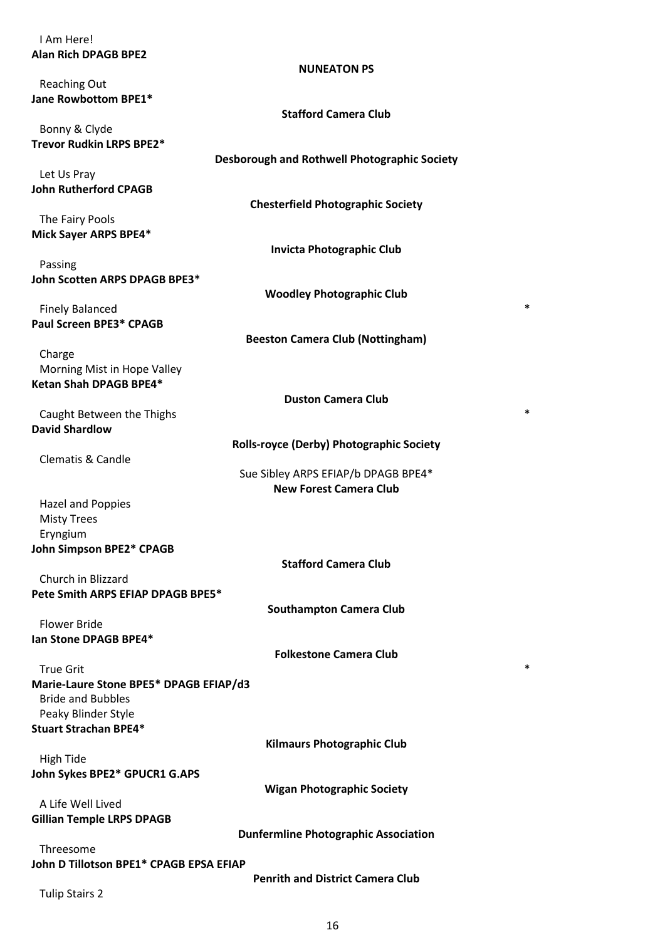## I Am Here! **Alan Rich DPAGB BPE2**

Reaching Out **Jane Rowbottom BPE1\***

Bonny & Clyde **Trevor Rudkin LRPS BPE2\***

Let Us Pray **John Rutherford CPAGB**

The Fairy Pools **Mick Sayer ARPS BPE4\***

Passing **John Scotten ARPS DPAGB BPE3\***

Finely Balanced \* **Paul Screen BPE3\* CPAGB**

Charge Morning Mist in Hope Valley **Ketan Shah DPAGB BPE4\***

**Duston Camera Club**

**Rolls-royce (Derby) Photographic Society**

Caught Between the Thighs  $*$ **David Shardlow**

Clematis & Candle

Sue Sibley ARPS EFIAP/b DPAGB BPE4\* **New Forest Camera Club**

Hazel and Poppies Misty Trees Eryngium **John Simpson BPE2\* CPAGB**

Church in Blizzard **Pete Smith ARPS EFIAP DPAGB BPE5\***

Flower Bride **Ian Stone DPAGB BPE4\***

**Folkestone Camera Club**

**Kilmaurs Photographic Club**

**Wigan Photographic Society**

**Stafford Camera Club**

**Southampton Camera Club**

True Grit  $*$ **Marie-Laure Stone BPE5\* DPAGB EFIAP/d3** Bride and Bubbles Peaky Blinder Style **Stuart Strachan BPE4\***

High Tide **John Sykes BPE2\* GPUCR1 G.APS**

A Life Well Lived **Gillian Temple LRPS DPAGB**

**Dunfermline Photographic Association**

Threesome **John D Tillotson BPE1\* CPAGB EPSA EFIAP**

**Penrith and District Camera Club**

16

Tulip Stairs 2

## **NUNEATON PS**

**Stafford Camera Club**

**Desborough and Rothwell Photographic Society**

**Chesterfield Photographic Society**

**Invicta Photographic Club**

**Woodley Photographic Club**

**Beeston Camera Club (Nottingham)**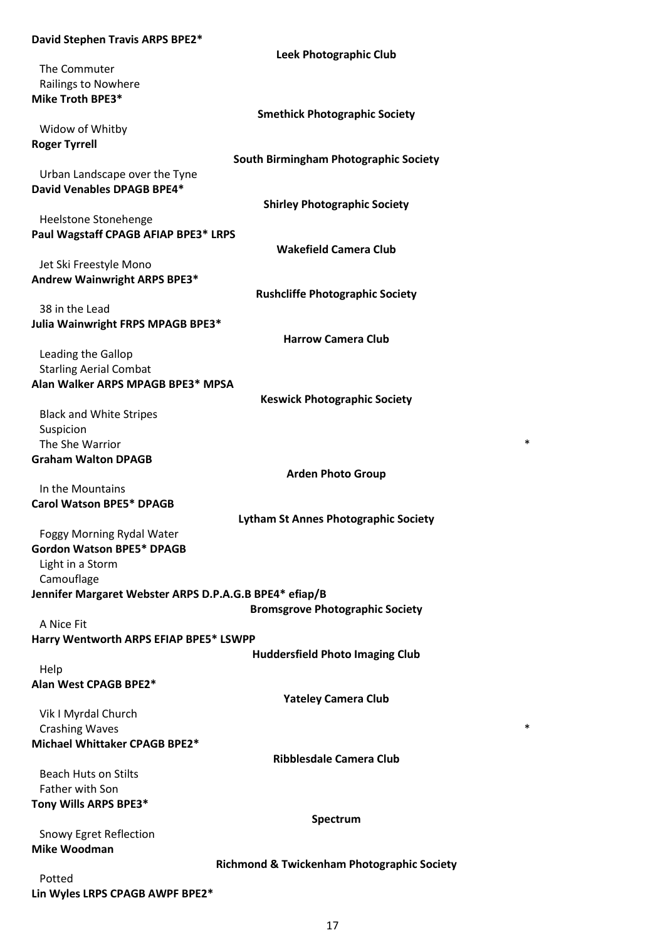### **David Stephen Travis ARPS BPE2\***

|                                                        | Leek Photographic Club                                |
|--------------------------------------------------------|-------------------------------------------------------|
| The Commuter                                           |                                                       |
| Railings to Nowhere                                    |                                                       |
| Mike Troth BPE3*                                       |                                                       |
|                                                        | <b>Smethick Photographic Society</b>                  |
| Widow of Whitby                                        |                                                       |
| <b>Roger Tyrrell</b>                                   |                                                       |
|                                                        | South Birmingham Photographic Society                 |
| Urban Landscape over the Tyne                          |                                                       |
| David Venables DPAGB BPE4*                             |                                                       |
|                                                        | <b>Shirley Photographic Society</b>                   |
| Heelstone Stonehenge                                   |                                                       |
| Paul Wagstaff CPAGB AFIAP BPE3* LRPS                   |                                                       |
|                                                        | <b>Wakefield Camera Club</b>                          |
| Jet Ski Freestyle Mono                                 |                                                       |
| Andrew Wainwright ARPS BPE3*                           |                                                       |
|                                                        | <b>Rushcliffe Photographic Society</b>                |
| 38 in the Lead                                         |                                                       |
| Julia Wainwright FRPS MPAGB BPE3*                      |                                                       |
|                                                        | <b>Harrow Camera Club</b>                             |
| Leading the Gallop                                     |                                                       |
| <b>Starling Aerial Combat</b>                          |                                                       |
| Alan Walker ARPS MPAGB BPE3* MPSA                      |                                                       |
|                                                        | <b>Keswick Photographic Society</b>                   |
| <b>Black and White Stripes</b>                         |                                                       |
| Suspicion                                              |                                                       |
| The She Warrior                                        | *                                                     |
| <b>Graham Walton DPAGB</b>                             |                                                       |
|                                                        |                                                       |
|                                                        | <b>Arden Photo Group</b>                              |
| In the Mountains                                       |                                                       |
| <b>Carol Watson BPE5* DPAGB</b>                        |                                                       |
|                                                        | <b>Lytham St Annes Photographic Society</b>           |
| Foggy Morning Rydal Water                              |                                                       |
| Gordon Watson BPE5* DPAGB                              |                                                       |
| Light in a Storm                                       |                                                       |
| Camouflage                                             |                                                       |
| Jennifer Margaret Webster ARPS D.P.A.G.B BPE4* efiap/B |                                                       |
|                                                        | <b>Bromsgrove Photographic Society</b>                |
| A Nice Fit                                             |                                                       |
| Harry Wentworth ARPS EFIAP BPE5* LSWPP                 |                                                       |
|                                                        | <b>Huddersfield Photo Imaging Club</b>                |
| Help                                                   |                                                       |
| Alan West CPAGB BPE2*                                  |                                                       |
|                                                        | <b>Yateley Camera Club</b>                            |
| Vik I Myrdal Church                                    |                                                       |
| <b>Crashing Waves</b>                                  | *                                                     |
| Michael Whittaker CPAGB BPE2*                          |                                                       |
|                                                        | <b>Ribblesdale Camera Club</b>                        |
| <b>Beach Huts on Stilts</b>                            |                                                       |
| Father with Son                                        |                                                       |
| Tony Wills ARPS BPE3*                                  |                                                       |
|                                                        | Spectrum                                              |
| <b>Snowy Egret Reflection</b>                          |                                                       |
| <b>Mike Woodman</b>                                    |                                                       |
|                                                        | <b>Richmond &amp; Twickenham Photographic Society</b> |

**Lin Wyles LRPS CPAGB AWPF BPE2\***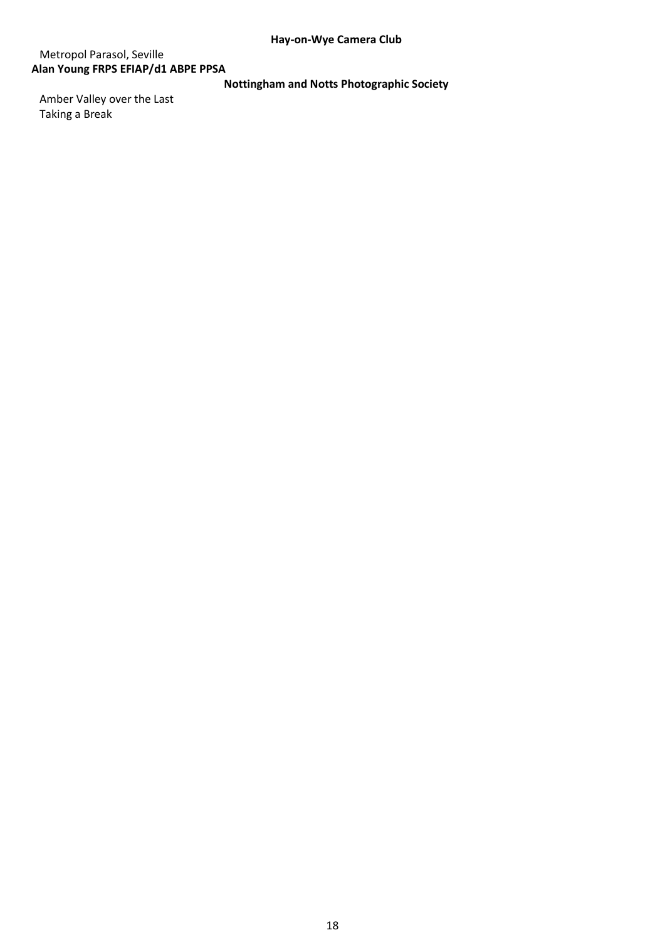# Metropol Parasol, Seville **Alan Young FRPS EFIAP/d1 ABPE PPSA**

**Nottingham and Notts Photographic Society**

Amber Valley over the Last Taking a Break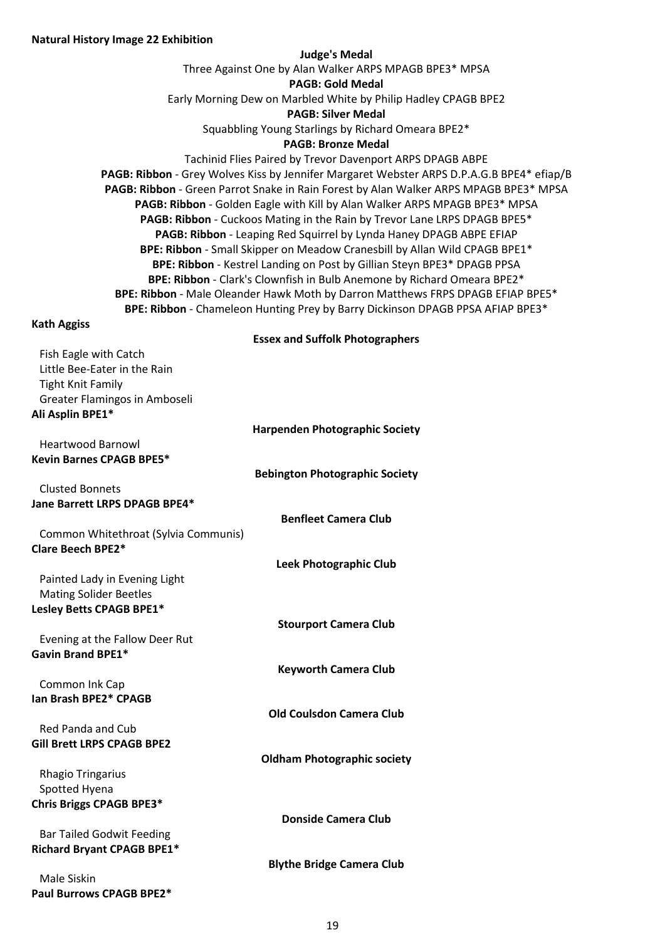#### **Judge's Medal**

Three Against One by Alan Walker ARPS MPAGB BPE3\* MPSA

**PAGB: Gold Medal**

Early Morning Dew on Marbled White by Philip Hadley CPAGB BPE2

**PAGB: Silver Medal**

Squabbling Young Starlings by Richard Omeara BPE2\*

### **PAGB: Bronze Medal**

Tachinid Flies Paired by Trevor Davenport ARPS DPAGB ABPE **PAGB: Ribbon** - Grey Wolves Kiss by Jennifer Margaret Webster ARPS D.P.A.G.B BPE4\* efiap/B **PAGB: Ribbon** - Green Parrot Snake in Rain Forest by Alan Walker ARPS MPAGB BPE3\* MPSA **PAGB: Ribbon** - Golden Eagle with Kill by Alan Walker ARPS MPAGB BPE3\* MPSA **PAGB: Ribbon** - Cuckoos Mating in the Rain by Trevor Lane LRPS DPAGB BPE5\* **PAGB: Ribbon** - Leaping Red Squirrel by Lynda Haney DPAGB ABPE EFIAP **BPE: Ribbon** - Small Skipper on Meadow Cranesbill by Allan Wild CPAGB BPE1\* **BPE: Ribbon** - Kestrel Landing on Post by Gillian Steyn BPE3\* DPAGB PPSA **BPE: Ribbon** - Clark's Clownfish in Bulb Anemone by Richard Omeara BPE2\* **BPE: Ribbon** - Male Oleander Hawk Moth by Darron Matthews FRPS DPAGB EFIAP BPE5\* **BPE: Ribbon** - Chameleon Hunting Prey by Barry Dickinson DPAGB PPSA AFIAP BPE3\*

#### **Kath Aggiss**

## **Essex and Suffolk Photographers**

| Fish Eagle with Catch                |                                       |
|--------------------------------------|---------------------------------------|
|                                      |                                       |
| Little Bee-Eater in the Rain         |                                       |
| <b>Tight Knit Family</b>             |                                       |
|                                      |                                       |
| Greater Flamingos in Amboseli        |                                       |
| Ali Asplin BPE1*                     |                                       |
|                                      |                                       |
|                                      | <b>Harpenden Photographic Society</b> |
| <b>Heartwood Barnowl</b>             |                                       |
| <b>Kevin Barnes CPAGB BPE5*</b>      |                                       |
|                                      |                                       |
|                                      | <b>Bebington Photographic Society</b> |
| <b>Clusted Bonnets</b>               |                                       |
| Jane Barrett LRPS DPAGB BPE4*        |                                       |
|                                      |                                       |
|                                      | <b>Benfleet Camera Club</b>           |
| Common Whitethroat (Sylvia Communis) |                                       |
|                                      |                                       |
| <b>Clare Beech BPE2*</b>             |                                       |
|                                      | <b>Leek Photographic Club</b>         |
|                                      |                                       |
| Painted Lady in Evening Light        |                                       |
| <b>Mating Solider Beetles</b>        |                                       |
| Lesley Betts CPAGB BPE1*             |                                       |
|                                      |                                       |
|                                      | <b>Stourport Camera Club</b>          |
| Evening at the Fallow Deer Rut       |                                       |
|                                      |                                       |
| <b>Gavin Brand BPE1*</b>             |                                       |
|                                      | <b>Keyworth Camera Club</b>           |
|                                      |                                       |
| Common Ink Cap                       |                                       |
| Ian Brash BPE2* CPAGB                |                                       |
|                                      | <b>Old Coulsdon Camera Club</b>       |
|                                      |                                       |
| <b>Red Panda and Cub</b>             |                                       |
| <b>Gill Brett LRPS CPAGB BPE2</b>    |                                       |
|                                      |                                       |
|                                      | <b>Oldham Photographic society</b>    |
| <b>Rhagio Tringarius</b>             |                                       |
| Spotted Hyena                        |                                       |
|                                      |                                       |
| Chris Briggs CPAGB BPE3*             |                                       |
|                                      | <b>Donside Camera Club</b>            |
|                                      |                                       |
| <b>Bar Tailed Godwit Feeding</b>     |                                       |
| <b>Richard Bryant CPAGB BPE1*</b>    |                                       |
|                                      | <b>Blythe Bridge Camera Club</b>      |
|                                      |                                       |

Male Siskin **Paul Burrows CPAGB BPE2\***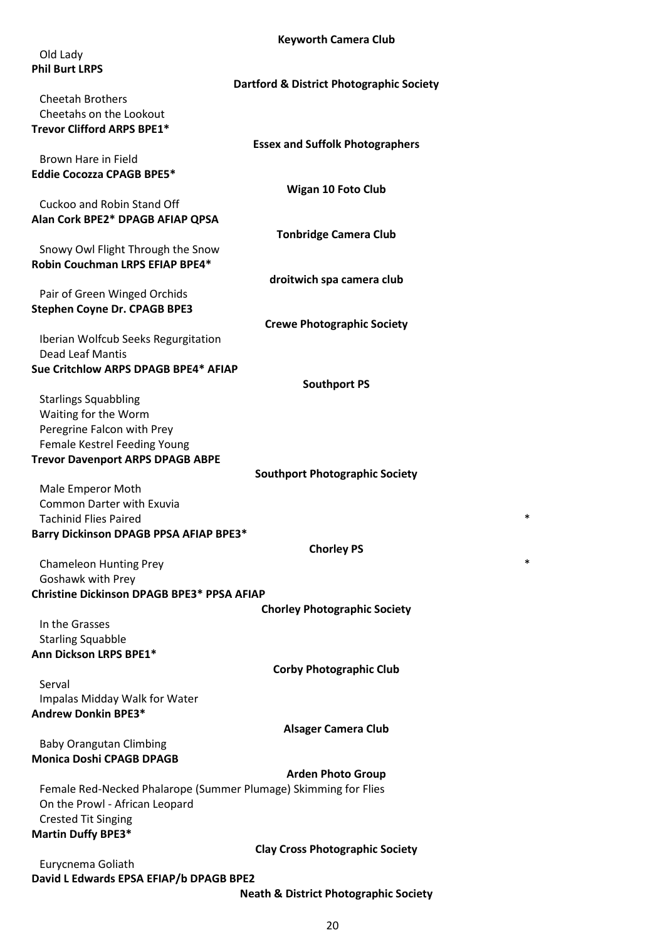#### **Keyworth Camera Club**

| <b>Keyworth Camera Club</b>                                     |
|-----------------------------------------------------------------|
| Old Lady                                                        |
| <b>Phil Burt LRPS</b>                                           |
| <b>Dartford &amp; District Photographic Society</b>             |
| Cheetah Brothers                                                |
| Cheetahs on the Lookout                                         |
|                                                                 |
| Trevor Clifford ARPS BPE1*                                      |
| <b>Essex and Suffolk Photographers</b>                          |
| Brown Hare in Field                                             |
| <b>Eddie Cocozza CPAGB BPE5*</b>                                |
| <b>Wigan 10 Foto Club</b>                                       |
| Cuckoo and Robin Stand Off                                      |
| Alan Cork BPE2* DPAGB AFIAP QPSA                                |
| <b>Tonbridge Camera Club</b>                                    |
| Snowy Owl Flight Through the Snow                               |
| Robin Couchman LRPS EFIAP BPE4*                                 |
| droitwich spa camera club                                       |
| Pair of Green Winged Orchids                                    |
|                                                                 |
| <b>Stephen Coyne Dr. CPAGB BPE3</b>                             |
| <b>Crewe Photographic Society</b>                               |
| Iberian Wolfcub Seeks Regurgitation                             |
| Dead Leaf Mantis                                                |
| Sue Critchlow ARPS DPAGB BPE4* AFIAP                            |
| <b>Southport PS</b>                                             |
| <b>Starlings Squabbling</b>                                     |
| Waiting for the Worm                                            |
| Peregrine Falcon with Prey                                      |
| Female Kestrel Feeding Young                                    |
| <b>Trevor Davenport ARPS DPAGB ABPE</b>                         |
| <b>Southport Photographic Society</b>                           |
|                                                                 |
| Male Emperor Moth                                               |
| <b>Common Darter with Exuvia</b>                                |
| *<br><b>Tachinid Flies Paired</b>                               |
| Barry Dickinson DPAGB PPSA AFIAP BPE3*                          |
| <b>Chorley PS</b>                                               |
| *<br><b>Chameleon Hunting Prey</b>                              |
| Goshawk with Prey                                               |
| <b>Christine Dickinson DPAGB BPE3* PPSA AFIAP</b>               |
| <b>Chorley Photographic Society</b>                             |
| In the Grasses                                                  |
| <b>Starling Squabble</b>                                        |
| Ann Dickson LRPS BPE1*                                          |
|                                                                 |
| <b>Corby Photographic Club</b>                                  |
| Serval                                                          |
| Impalas Midday Walk for Water                                   |
| <b>Andrew Donkin BPE3*</b>                                      |
| <b>Alsager Camera Club</b>                                      |
| <b>Baby Orangutan Climbing</b>                                  |
| <b>Monica Doshi CPAGB DPAGB</b>                                 |
| <b>Arden Photo Group</b>                                        |
| Female Red-Necked Phalarope (Summer Plumage) Skimming for Flies |
| On the Prowl - African Leopard                                  |
|                                                                 |
| <b>Crested Tit Singing</b>                                      |
| <b>Martin Duffy BPE3*</b>                                       |
| <b>Clay Cross Photographic Society</b>                          |
| Eurycnema Goliath                                               |
| David L Edwards EPSA EFIAP/b DPAGB BPE2                         |
| <b>Neath &amp; District Photographic Society</b>                |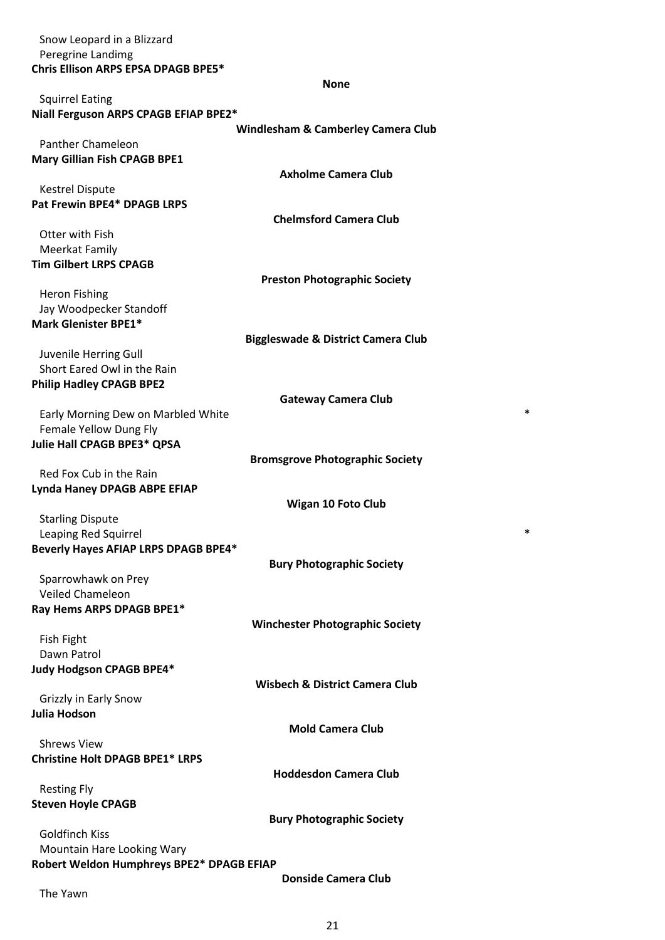Snow Leopard in a Blizzard Peregrine Landimg **Chris Ellison ARPS EPSA DPAGB BPE5\***

|                                                              | <b>None</b>                                   |   |
|--------------------------------------------------------------|-----------------------------------------------|---|
| <b>Squirrel Eating</b>                                       |                                               |   |
| Niall Ferguson ARPS CPAGB EFIAP BPE2*                        |                                               |   |
|                                                              | <b>Windlesham &amp; Camberley Camera Club</b> |   |
| <b>Panther Chameleon</b>                                     |                                               |   |
| <b>Mary Gillian Fish CPAGB BPE1</b>                          |                                               |   |
|                                                              | <b>Axholme Camera Club</b>                    |   |
| <b>Kestrel Dispute</b>                                       |                                               |   |
| Pat Frewin BPE4* DPAGB LRPS                                  |                                               |   |
|                                                              | <b>Chelmsford Camera Club</b>                 |   |
| Otter with Fish                                              |                                               |   |
| <b>Meerkat Family</b><br><b>Tim Gilbert LRPS CPAGB</b>       |                                               |   |
|                                                              | <b>Preston Photographic Society</b>           |   |
| <b>Heron Fishing</b>                                         |                                               |   |
| Jay Woodpecker Standoff                                      |                                               |   |
| Mark Glenister BPE1*                                         |                                               |   |
|                                                              | <b>Biggleswade &amp; District Camera Club</b> |   |
| Juvenile Herring Gull                                        |                                               |   |
| Short Eared Owl in the Rain                                  |                                               |   |
| <b>Philip Hadley CPAGB BPE2</b>                              |                                               |   |
|                                                              | <b>Gateway Camera Club</b>                    |   |
| Early Morning Dew on Marbled White                           |                                               | * |
| Female Yellow Dung Fly                                       |                                               |   |
| Julie Hall CPAGB BPE3* QPSA                                  |                                               |   |
|                                                              | <b>Bromsgrove Photographic Society</b>        |   |
| Red Fox Cub in the Rain                                      |                                               |   |
| Lynda Haney DPAGB ABPE EFIAP                                 |                                               |   |
|                                                              | <b>Wigan 10 Foto Club</b>                     |   |
| <b>Starling Dispute</b>                                      |                                               | * |
| Leaping Red Squirrel<br>Beverly Hayes AFIAP LRPS DPAGB BPE4* |                                               |   |
|                                                              | <b>Bury Photographic Society</b>              |   |
| Sparrowhawk on Prey                                          |                                               |   |
| <b>Veiled Chameleon</b>                                      |                                               |   |
| Ray Hems ARPS DPAGB BPE1*                                    |                                               |   |
|                                                              | <b>Winchester Photographic Society</b>        |   |
| <b>Fish Fight</b>                                            |                                               |   |
| Dawn Patrol                                                  |                                               |   |
| Judy Hodgson CPAGB BPE4*                                     |                                               |   |
|                                                              | <b>Wisbech &amp; District Camera Club</b>     |   |
| Grizzly in Early Snow                                        |                                               |   |
| <b>Julia Hodson</b>                                          |                                               |   |
|                                                              | <b>Mold Camera Club</b>                       |   |
| <b>Shrews View</b>                                           |                                               |   |
| <b>Christine Holt DPAGB BPE1* LRPS</b>                       |                                               |   |
|                                                              | <b>Hoddesdon Camera Club</b>                  |   |
| <b>Resting Fly</b>                                           |                                               |   |
| <b>Steven Hoyle CPAGB</b>                                    |                                               |   |
| <b>Goldfinch Kiss</b>                                        | <b>Bury Photographic Society</b>              |   |
| Mountain Hare Looking Wary                                   |                                               |   |
| Robert Weldon Humphreys BPE2* DPAGB EFIAP                    |                                               |   |
|                                                              | <b>Donside Camera Club</b>                    |   |
| The Yawn                                                     |                                               |   |
|                                                              |                                               |   |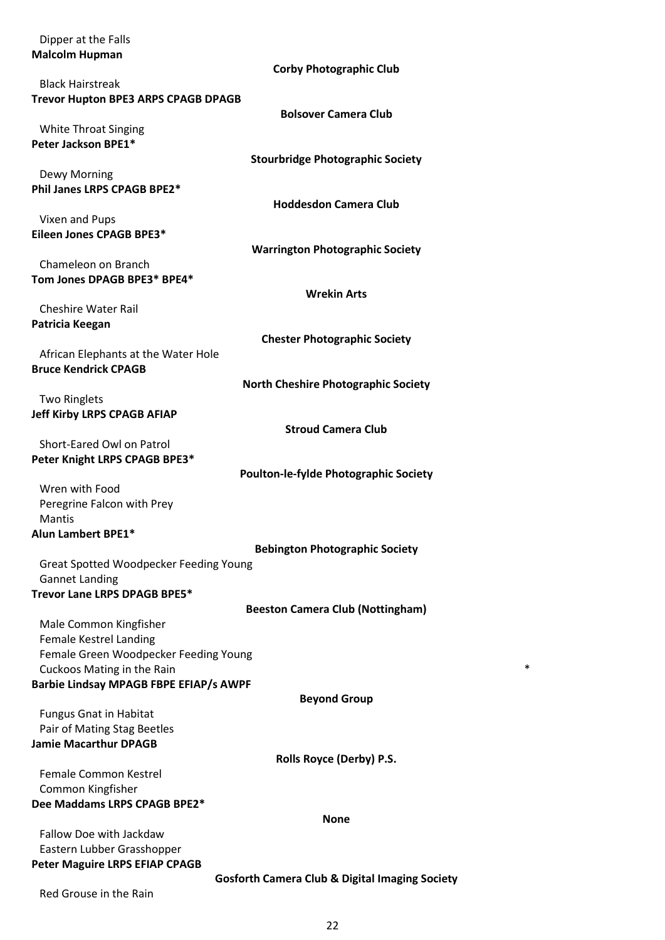| Dipper at the Falls                                       |
|-----------------------------------------------------------|
| <b>Malcolm Hupman</b>                                     |
| <b>Corby Photographic Club</b>                            |
| <b>Black Hairstreak</b>                                   |
|                                                           |
| <b>Trevor Hupton BPE3 ARPS CPAGB DPAGB</b>                |
| <b>Bolsover Camera Club</b>                               |
| <b>White Throat Singing</b>                               |
| Peter Jackson BPE1*                                       |
| <b>Stourbridge Photographic Society</b>                   |
| Dewy Morning                                              |
| Phil Janes LRPS CPAGB BPE2*                               |
| <b>Hoddesdon Camera Club</b>                              |
|                                                           |
| Vixen and Pups                                            |
| Eileen Jones CPAGB BPE3*                                  |
| <b>Warrington Photographic Society</b>                    |
| Chameleon on Branch                                       |
| Tom Jones DPAGB BPE3* BPE4*                               |
| <b>Wrekin Arts</b>                                        |
| <b>Cheshire Water Rail</b>                                |
|                                                           |
| Patricia Keegan                                           |
| <b>Chester Photographic Society</b>                       |
| African Elephants at the Water Hole                       |
| <b>Bruce Kendrick CPAGB</b>                               |
| <b>North Cheshire Photographic Society</b>                |
| <b>Two Ringlets</b>                                       |
|                                                           |
| <b>Jeff Kirby LRPS CPAGB AFIAP</b>                        |
| <b>Stroud Camera Club</b>                                 |
| Short-Eared Owl on Patrol                                 |
| Peter Knight LRPS CPAGB BPE3*                             |
| <b>Poulton-le-fylde Photographic Society</b>              |
| Wren with Food                                            |
| Peregrine Falcon with Prey                                |
|                                                           |
| <b>Mantis</b>                                             |
| <b>Alun Lambert BPE1*</b>                                 |
| <b>Bebington Photographic Society</b>                     |
| Great Spotted Woodpecker Feeding Young                    |
| <b>Gannet Landing</b>                                     |
| Trevor Lane LRPS DPAGB BPE5*                              |
| <b>Beeston Camera Club (Nottingham)</b>                   |
|                                                           |
| Male Common Kingfisher                                    |
| <b>Female Kestrel Landing</b>                             |
| Female Green Woodpecker Feeding Young                     |
| *<br>Cuckoos Mating in the Rain                           |
| <b>Barbie Lindsay MPAGB FBPE EFIAP/s AWPF</b>             |
| <b>Beyond Group</b>                                       |
| <b>Fungus Gnat in Habitat</b>                             |
| Pair of Mating Stag Beetles                               |
| <b>Jamie Macarthur DPAGB</b>                              |
|                                                           |
| Rolls Royce (Derby) P.S.                                  |
| Female Common Kestrel                                     |
| Common Kingfisher                                         |
| Dee Maddams LRPS CPAGB BPE2*                              |
| <b>None</b>                                               |
| Fallow Doe with Jackdaw                                   |
|                                                           |
| Eastern Lubber Grasshopper                                |
| <b>Peter Maguire LRPS EFIAP CPAGB</b>                     |
|                                                           |
| <b>Gosforth Camera Club &amp; Digital Imaging Society</b> |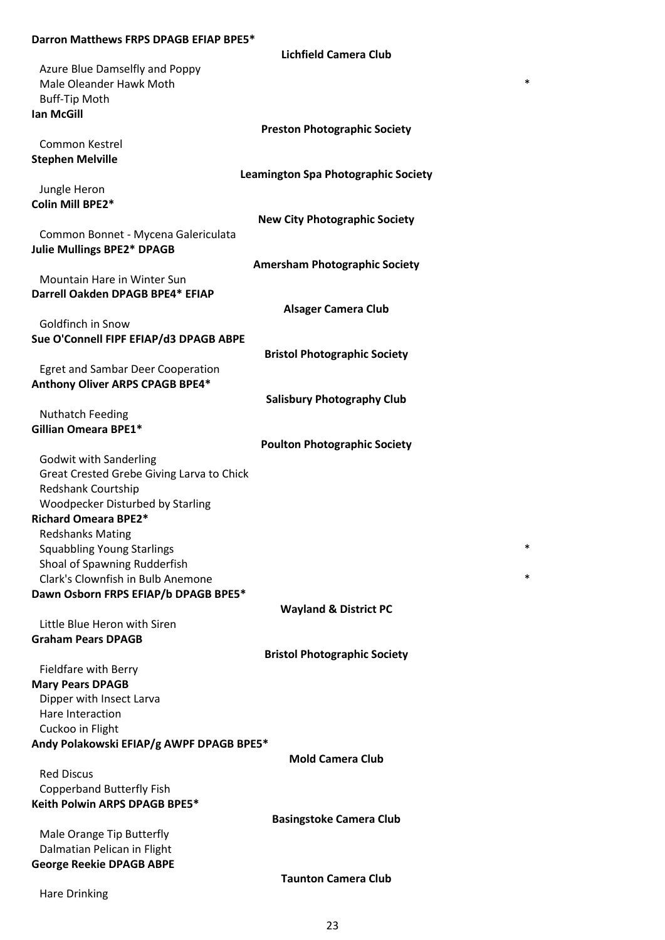## **Darron Matthews FRPS DPAGB EFIAP BPE5\***

**Lichfield Camera Club**

| Azure Blue Damselfly and Poppy            |                                      |
|-------------------------------------------|--------------------------------------|
|                                           | *                                    |
| Male Oleander Hawk Moth                   |                                      |
| <b>Buff-Tip Moth</b>                      |                                      |
| <b>Ian McGill</b>                         |                                      |
|                                           | <b>Preston Photographic Society</b>  |
| Common Kestrel                            |                                      |
| <b>Stephen Melville</b>                   |                                      |
|                                           | Leamington Spa Photographic Society  |
|                                           |                                      |
| Jungle Heron                              |                                      |
| Colin Mill BPE2*                          |                                      |
|                                           | <b>New City Photographic Society</b> |
| Common Bonnet - Mycena Galericulata       |                                      |
| <b>Julie Mullings BPE2* DPAGB</b>         |                                      |
|                                           | <b>Amersham Photographic Society</b> |
| <b>Mountain Hare in Winter Sun</b>        |                                      |
| Darrell Oakden DPAGB BPE4* EFIAP          |                                      |
|                                           | <b>Alsager Camera Club</b>           |
| Goldfinch in Snow                         |                                      |
|                                           |                                      |
| Sue O'Connell FIPF EFIAP/d3 DPAGB ABPE    |                                      |
|                                           | <b>Bristol Photographic Society</b>  |
| <b>Egret and Sambar Deer Cooperation</b>  |                                      |
| Anthony Oliver ARPS CPAGB BPE4*           |                                      |
|                                           | <b>Salisbury Photography Club</b>    |
| <b>Nuthatch Feeding</b>                   |                                      |
| Gillian Omeara BPE1*                      |                                      |
|                                           | <b>Poulton Photographic Society</b>  |
| <b>Godwit with Sanderling</b>             |                                      |
| Great Crested Grebe Giving Larva to Chick |                                      |
| Redshank Courtship                        |                                      |
|                                           |                                      |
| Woodpecker Disturbed by Starling          |                                      |
| <b>Richard Omeara BPE2*</b>               |                                      |
| <b>Redshanks Mating</b>                   |                                      |
| <b>Squabbling Young Starlings</b>         | *                                    |
| Shoal of Spawning Rudderfish              |                                      |
| Clark's Clownfish in Bulb Anemone         | *                                    |
| Dawn Osborn FRPS EFIAP/b DPAGB BPE5*      |                                      |
|                                           | <b>Wayland &amp; District PC</b>     |
| Little Blue Heron with Siren              |                                      |
| <b>Graham Pears DPAGB</b>                 |                                      |
|                                           | <b>Bristol Photographic Society</b>  |
|                                           |                                      |
| Fieldfare with Berry                      |                                      |
| <b>Mary Pears DPAGB</b>                   |                                      |
| Dipper with Insect Larva                  |                                      |
| Hare Interaction                          |                                      |
| Cuckoo in Flight                          |                                      |
| Andy Polakowski EFIAP/g AWPF DPAGB BPE5*  |                                      |
|                                           | <b>Mold Camera Club</b>              |
| <b>Red Discus</b>                         |                                      |
| <b>Copperband Butterfly Fish</b>          |                                      |
| Keith Polwin ARPS DPAGB BPE5*             |                                      |
|                                           |                                      |
|                                           | <b>Basingstoke Camera Club</b>       |
| Male Orange Tip Butterfly                 |                                      |
| Dalmatian Pelican in Flight               |                                      |
| <b>George Reekie DPAGB ABPE</b>           |                                      |
|                                           | <b>Taunton Camera Club</b>           |
| Hare Drinking                             |                                      |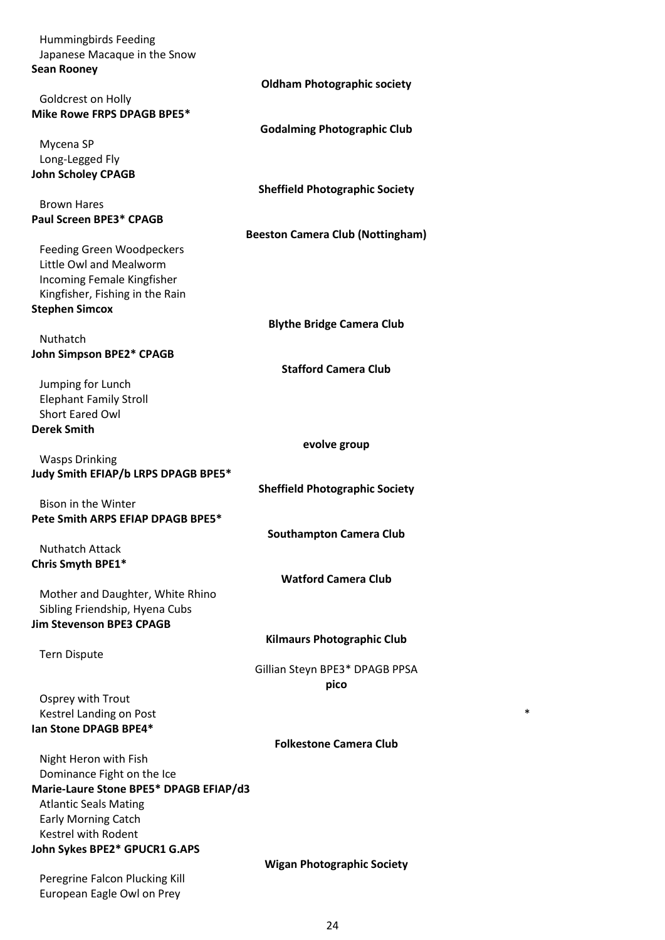| <b>Hummingbirds Feeding</b>                                 |                                         |
|-------------------------------------------------------------|-----------------------------------------|
| Japanese Macaque in the Snow                                |                                         |
| <b>Sean Rooney</b>                                          |                                         |
| Goldcrest on Holly                                          | <b>Oldham Photographic society</b>      |
| Mike Rowe FRPS DPAGB BPE5*                                  |                                         |
|                                                             | <b>Godalming Photographic Club</b>      |
| Mycena SP                                                   |                                         |
| Long-Legged Fly                                             |                                         |
| <b>John Scholey CPAGB</b>                                   |                                         |
|                                                             | <b>Sheffield Photographic Society</b>   |
| <b>Brown Hares</b>                                          |                                         |
| <b>Paul Screen BPE3* CPAGB</b>                              |                                         |
|                                                             | <b>Beeston Camera Club (Nottingham)</b> |
| <b>Feeding Green Woodpeckers</b><br>Little Owl and Mealworm |                                         |
| Incoming Female Kingfisher                                  |                                         |
| Kingfisher, Fishing in the Rain                             |                                         |
| <b>Stephen Simcox</b>                                       |                                         |
|                                                             | <b>Blythe Bridge Camera Club</b>        |
| Nuthatch                                                    |                                         |
| <b>John Simpson BPE2* CPAGB</b>                             |                                         |
|                                                             | <b>Stafford Camera Club</b>             |
| Jumping for Lunch                                           |                                         |
| <b>Elephant Family Stroll</b><br><b>Short Eared Owl</b>     |                                         |
| <b>Derek Smith</b>                                          |                                         |
|                                                             | evolve group                            |
| <b>Wasps Drinking</b>                                       |                                         |
| Judy Smith EFIAP/b LRPS DPAGB BPE5*                         |                                         |
|                                                             | <b>Sheffield Photographic Society</b>   |
| Bison in the Winter                                         |                                         |
| Pete Smith ARPS EFIAP DPAGB BPE5*                           |                                         |
|                                                             | <b>Southampton Camera Club</b>          |
| <b>Nuthatch Attack</b>                                      |                                         |
| Chris Smyth BPE1*                                           | <b>Watford Camera Club</b>              |
| Mother and Daughter, White Rhino                            |                                         |
| Sibling Friendship, Hyena Cubs                              |                                         |
| <b>Jim Stevenson BPE3 CPAGB</b>                             |                                         |
|                                                             | <b>Kilmaurs Photographic Club</b>       |
| <b>Tern Dispute</b>                                         |                                         |
|                                                             | Gillian Steyn BPE3* DPAGB PPSA          |
|                                                             | pico                                    |
| Osprey with Trout<br>Kestrel Landing on Post                |                                         |
| Ian Stone DPAGB BPE4*                                       |                                         |
|                                                             | <b>Folkestone Camera Club</b>           |
| Night Heron with Fish                                       |                                         |
| Dominance Fight on the Ice                                  |                                         |
| Marie-Laure Stone BPE5* DPAGB EFIAP/d3                      |                                         |
| <b>Atlantic Seals Mating</b>                                |                                         |
| <b>Early Morning Catch</b>                                  |                                         |
| Kestrel with Rodent                                         |                                         |
| John Sykes BPE2* GPUCR1 G.APS                               | <b>Wigan Photographic Society</b>       |
| Peregrine Falcon Plucking Kill                              |                                         |
| European Eagle Owl on Prey                                  |                                         |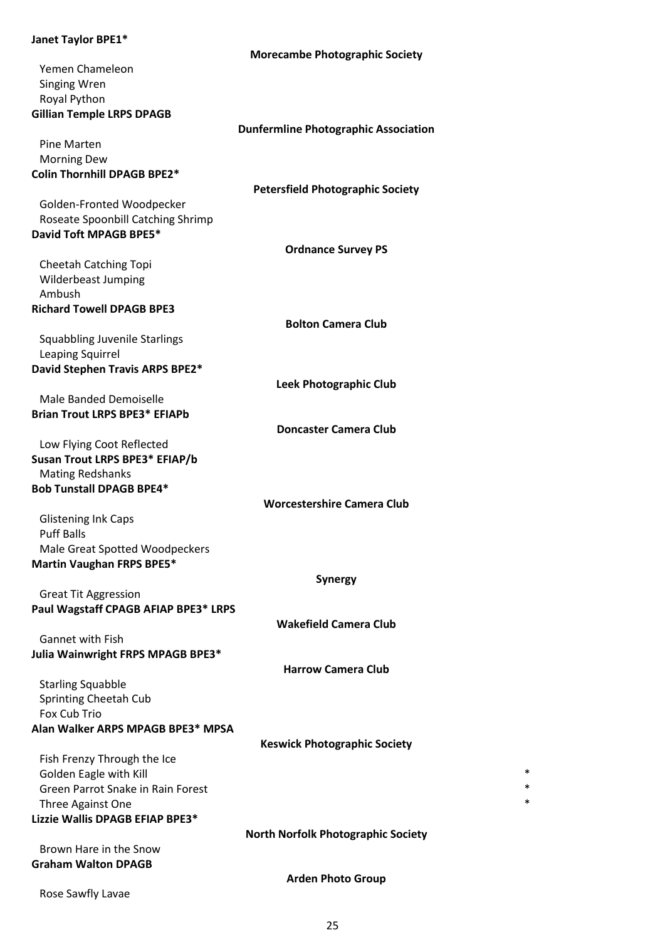# **Janet Taylor BPE1\***

|                                       | <b>Morecambe Photographic Society</b>       |
|---------------------------------------|---------------------------------------------|
| Yemen Chameleon                       |                                             |
| <b>Singing Wren</b>                   |                                             |
| Royal Python                          |                                             |
| <b>Gillian Temple LRPS DPAGB</b>      |                                             |
|                                       | <b>Dunfermline Photographic Association</b> |
| Pine Marten                           |                                             |
| <b>Morning Dew</b>                    |                                             |
| <b>Colin Thornhill DPAGB BPE2*</b>    |                                             |
|                                       | <b>Petersfield Photographic Society</b>     |
| Golden-Fronted Woodpecker             |                                             |
| Roseate Spoonbill Catching Shrimp     |                                             |
| David Toft MPAGB BPE5*                |                                             |
|                                       | <b>Ordnance Survey PS</b>                   |
| <b>Cheetah Catching Topi</b>          |                                             |
| Wilderbeast Jumping                   |                                             |
| Ambush                                |                                             |
| <b>Richard Towell DPAGB BPE3</b>      |                                             |
|                                       | <b>Bolton Camera Club</b>                   |
| <b>Squabbling Juvenile Starlings</b>  |                                             |
| Leaping Squirrel                      |                                             |
| David Stephen Travis ARPS BPE2*       |                                             |
|                                       | Leek Photographic Club                      |
| Male Banded Demoiselle                |                                             |
| <b>Brian Trout LRPS BPE3* EFIAPb</b>  |                                             |
|                                       | <b>Doncaster Camera Club</b>                |
| Low Flying Coot Reflected             |                                             |
| Susan Trout LRPS BPE3* EFIAP/b        |                                             |
| <b>Mating Redshanks</b>               |                                             |
| <b>Bob Tunstall DPAGB BPE4*</b>       |                                             |
|                                       | <b>Worcestershire Camera Club</b>           |
| <b>Glistening Ink Caps</b>            |                                             |
| <b>Puff Balls</b>                     |                                             |
| Male Great Spotted Woodpeckers        |                                             |
| <b>Martin Vaughan FRPS BPE5*</b>      |                                             |
|                                       | <b>Synergy</b>                              |
| <b>Great Tit Aggression</b>           |                                             |
| Paul Wagstaff CPAGB AFIAP BPE3* LRPS  |                                             |
|                                       | <b>Wakefield Camera Club</b>                |
| <b>Gannet with Fish</b>               |                                             |
| Julia Wainwright FRPS MPAGB BPE3*     | <b>Harrow Camera Club</b>                   |
|                                       |                                             |
| <b>Starling Squabble</b>              |                                             |
| Sprinting Cheetah Cub<br>Fox Cub Trio |                                             |
| Alan Walker ARPS MPAGB BPE3* MPSA     |                                             |
|                                       | <b>Keswick Photographic Society</b>         |
| Fish Frenzy Through the Ice           |                                             |
| Golden Eagle with Kill                | *                                           |
| Green Parrot Snake in Rain Forest     |                                             |
| Three Against One                     | *                                           |
| Lizzie Wallis DPAGB EFIAP BPE3*       |                                             |
|                                       | <b>North Norfolk Photographic Society</b>   |
| Brown Hare in the Snow                |                                             |
| <b>Graham Walton DPAGB</b>            |                                             |
|                                       | <b>Arden Photo Group</b>                    |
| Rose Sawfly Lavae                     |                                             |
|                                       |                                             |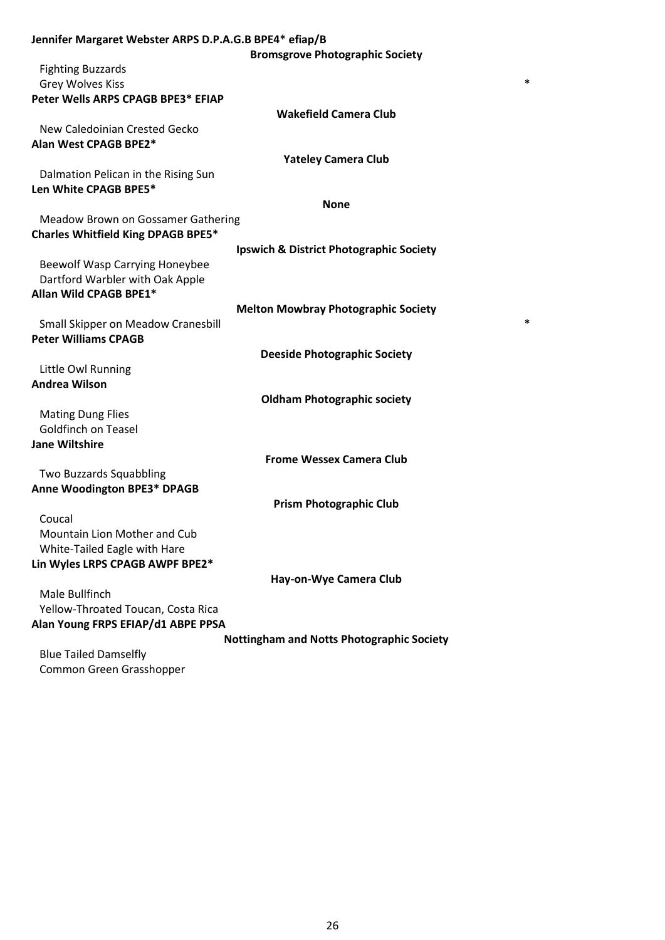| Jennifer Margaret Webster ARPS D.P.A.G.B BPE4* efiap/B |                                                  |
|--------------------------------------------------------|--------------------------------------------------|
|                                                        | <b>Bromsgrove Photographic Society</b>           |
| <b>Fighting Buzzards</b>                               |                                                  |
| <b>Grey Wolves Kiss</b>                                | *                                                |
| Peter Wells ARPS CPAGB BPE3* EFIAP                     |                                                  |
|                                                        | <b>Wakefield Camera Club</b>                     |
| New Caledoinian Crested Gecko                          |                                                  |
| Alan West CPAGB BPE2*                                  |                                                  |
|                                                        | <b>Yateley Camera Club</b>                       |
| Dalmation Pelican in the Rising Sun                    |                                                  |
| Len White CPAGB BPE5*                                  |                                                  |
|                                                        | <b>None</b>                                      |
| Meadow Brown on Gossamer Gathering                     |                                                  |
| <b>Charles Whitfield King DPAGB BPE5*</b>              |                                                  |
|                                                        | Ipswich & District Photographic Society          |
| <b>Beewolf Wasp Carrying Honeybee</b>                  |                                                  |
| Dartford Warbler with Oak Apple                        |                                                  |
| Allan Wild CPAGB BPE1*                                 |                                                  |
|                                                        | <b>Melton Mowbray Photographic Society</b>       |
| Small Skipper on Meadow Cranesbill                     | *                                                |
| <b>Peter Williams CPAGB</b>                            |                                                  |
|                                                        | <b>Deeside Photographic Society</b>              |
| Little Owl Running                                     |                                                  |
| <b>Andrea Wilson</b>                                   |                                                  |
|                                                        | <b>Oldham Photographic society</b>               |
| <b>Mating Dung Flies</b>                               |                                                  |
| <b>Goldfinch on Teasel</b>                             |                                                  |
| <b>Jane Wiltshire</b>                                  |                                                  |
|                                                        | <b>Frome Wessex Camera Club</b>                  |
| Two Buzzards Squabbling                                |                                                  |
| <b>Anne Woodington BPE3* DPAGB</b>                     |                                                  |
|                                                        | <b>Prism Photographic Club</b>                   |
| Coucal                                                 |                                                  |
| Mountain Lion Mother and Cub                           |                                                  |
| White-Tailed Eagle with Hare                           |                                                  |
| Lin Wyles LRPS CPAGB AWPF BPE2*                        |                                                  |
|                                                        | Hay-on-Wye Camera Club                           |
| Male Bullfinch                                         |                                                  |
| Yellow-Throated Toucan, Costa Rica                     |                                                  |
| Alan Young FRPS EFIAP/d1 ABPE PPSA                     |                                                  |
|                                                        | <b>Nottingham and Notts Photographic Society</b> |
| <b>Plue Tailed Damcolfly</b>                           |                                                  |

Blue Tailed Damselfly Common Green Grasshopper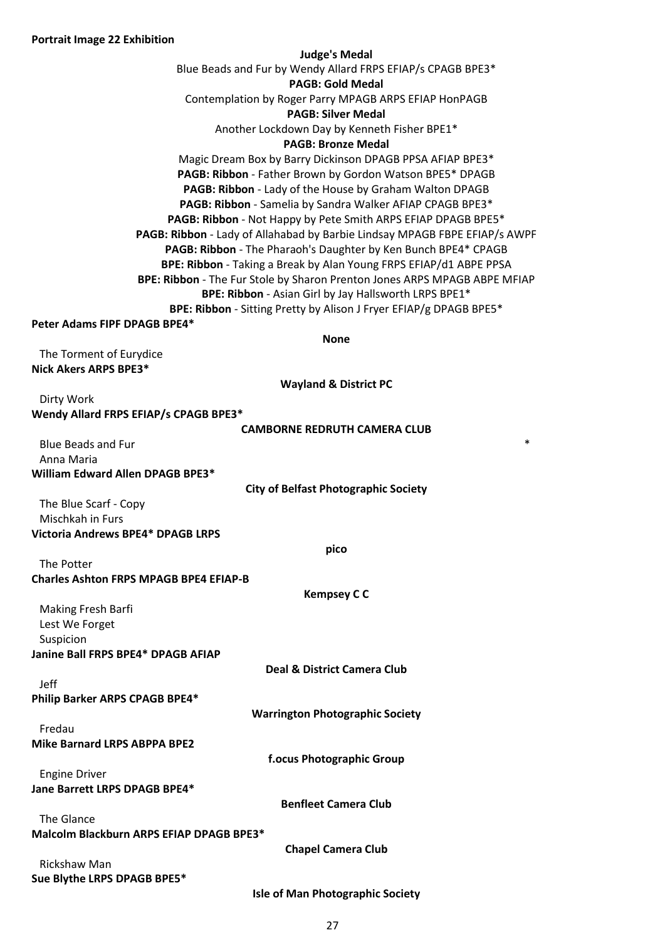#### **Judge's Medal**

Blue Beads and Fur by Wendy Allard FRPS EFIAP/s CPAGB BPE3\*

## **PAGB: Gold Medal**

Contemplation by Roger Parry MPAGB ARPS EFIAP HonPAGB

## **PAGB: Silver Medal**

Another Lockdown Day by Kenneth Fisher BPE1\*

## **PAGB: Bronze Medal**

Magic Dream Box by Barry Dickinson DPAGB PPSA AFIAP BPE3\* **PAGB: Ribbon** - Father Brown by Gordon Watson BPE5\* DPAGB **PAGB: Ribbon** - Lady of the House by Graham Walton DPAGB **PAGB: Ribbon** - Samelia by Sandra Walker AFIAP CPAGB BPE3\* **PAGB: Ribbon** - Not Happy by Pete Smith ARPS EFIAP DPAGB BPE5\* **PAGB: Ribbon** - Lady of Allahabad by Barbie Lindsay MPAGB FBPE EFIAP/s AWPF **PAGB: Ribbon** - The Pharaoh's Daughter by Ken Bunch BPE4\* CPAGB **BPE: Ribbon** - Taking a Break by Alan Young FRPS EFIAP/d1 ABPE PPSA **BPE: Ribbon** - The Fur Stole by Sharon Prenton Jones ARPS MPAGB ABPE MFIAP **BPE: Ribbon** - Asian Girl by Jay Hallsworth LRPS BPE1\* **BPE: Ribbon** - Sitting Pretty by Alison J Fryer EFIAP/g DPAGB BPE5\*

## **Peter Adams FIPF DPAGB BPE4\***

**None**

The Torment of Eurydice **Nick Akers ARPS BPE3\***

**Wayland & District PC**

| Dirty Work                            |  |
|---------------------------------------|--|
| Wendy Allard FRPS EFIAP/s CPAGB BPE3* |  |

| <b>CAMBORNE REDRUTH CAMERA CLUB</b> |  |  |
|-------------------------------------|--|--|
|                                     |  |  |

| Blue Beads and Fur               | ж |
|----------------------------------|---|
| Anna Maria                       |   |
| William Edward Allen DPAGB BPE3* |   |

**City of Belfast Photographic Society**

**pico**

**Kempsey C C**

**Deal & District Camera Club**

**Warrington Photographic Society**

**f.ocus Photographic Group**

The Blue Scarf - Copy Mischkah in Furs **Victoria Andrews BPE4\* DPAGB LRPS**

| The Potter                                    |  |
|-----------------------------------------------|--|
| <b>Charles Ashton FRPS MPAGB BPE4 EFIAP-B</b> |  |

Making Fresh Barfi Lest We Forget Suspicion **Janine Ball FRPS BPE4\* DPAGB AFIAP**

Jeff

**Philip Barker ARPS CPAGB BPE4\***

Fredau **Mike Barnard LRPS ABPPA BPE2**

Engine Driver **Jane Barrett LRPS DPAGB BPE4\***

**Benfleet Camera Club**

The Glance **Malcolm Blackburn ARPS EFIAP DPAGB BPE3\***

**Chapel Camera Club**

Rickshaw Man **Sue Blythe LRPS DPAGB BPE5\***

**Isle of Man Photographic Society**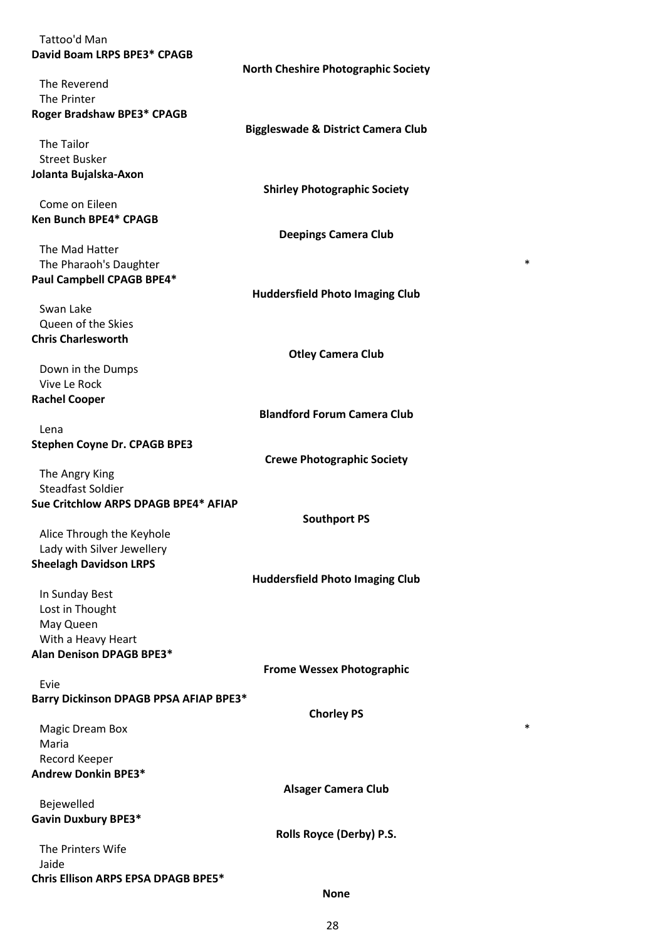| Tattoo'd Man                           |                                               |
|----------------------------------------|-----------------------------------------------|
| David Boam LRPS BPE3* CPAGB            |                                               |
|                                        | <b>North Cheshire Photographic Society</b>    |
| The Reverend                           |                                               |
| The Printer                            |                                               |
| Roger Bradshaw BPE3* CPAGB             |                                               |
|                                        | <b>Biggleswade &amp; District Camera Club</b> |
| The Tailor                             |                                               |
| <b>Street Busker</b>                   |                                               |
| Jolanta Bujalska-Axon                  |                                               |
|                                        | <b>Shirley Photographic Society</b>           |
| Come on Eileen                         |                                               |
| <b>Ken Bunch BPE4* CPAGB</b>           |                                               |
|                                        | <b>Deepings Camera Club</b>                   |
| The Mad Hatter                         |                                               |
| The Pharaoh's Daughter                 | *                                             |
| Paul Campbell CPAGB BPE4*              |                                               |
|                                        | <b>Huddersfield Photo Imaging Club</b>        |
| Swan Lake                              |                                               |
| Queen of the Skies                     |                                               |
| <b>Chris Charlesworth</b>              |                                               |
|                                        |                                               |
|                                        | <b>Otley Camera Club</b>                      |
| Down in the Dumps                      |                                               |
| Vive Le Rock                           |                                               |
| <b>Rachel Cooper</b>                   |                                               |
|                                        | <b>Blandford Forum Camera Club</b>            |
| Lena                                   |                                               |
| <b>Stephen Coyne Dr. CPAGB BPE3</b>    |                                               |
|                                        | <b>Crewe Photographic Society</b>             |
| The Angry King                         |                                               |
| <b>Steadfast Soldier</b>               |                                               |
| Sue Critchlow ARPS DPAGB BPE4* AFIAP   |                                               |
|                                        | <b>Southport PS</b>                           |
| Alice Through the Keyhole              |                                               |
| Lady with Silver Jewellery             |                                               |
| <b>Sheelagh Davidson LRPS</b>          |                                               |
|                                        | <b>Huddersfield Photo Imaging Club</b>        |
| In Sunday Best                         |                                               |
| Lost in Thought                        |                                               |
| May Queen                              |                                               |
| With a Heavy Heart                     |                                               |
| <b>Alan Denison DPAGB BPE3*</b>        |                                               |
|                                        | <b>Frome Wessex Photographic</b>              |
| Evie                                   |                                               |
| Barry Dickinson DPAGB PPSA AFIAP BPE3* |                                               |
|                                        | <b>Chorley PS</b>                             |
| <b>Magic Dream Box</b>                 | *                                             |
| Maria                                  |                                               |
| Record Keeper                          |                                               |
| <b>Andrew Donkin BPE3*</b>             |                                               |
|                                        | <b>Alsager Camera Club</b>                    |
| Bejewelled                             |                                               |
| <b>Gavin Duxbury BPE3*</b>             |                                               |
|                                        | Rolls Royce (Derby) P.S.                      |
| The Printers Wife                      |                                               |
| Jaide                                  |                                               |
| Chris Ellison ARPS EPSA DPAGB BPE5*    |                                               |

### **None**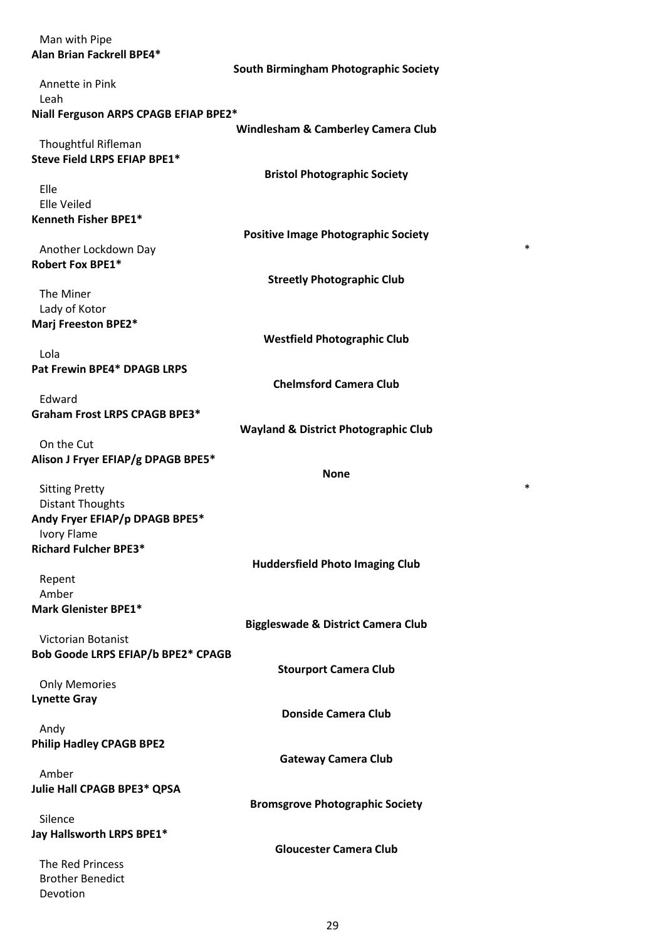| Man with Pipe                                        |                                                 |
|------------------------------------------------------|-------------------------------------------------|
| Alan Brian Fackrell BPE4*                            |                                                 |
|                                                      | South Birmingham Photographic Society           |
| Annette in Pink                                      |                                                 |
| Leah                                                 |                                                 |
| Niall Ferguson ARPS CPAGB EFIAP BPE2*                |                                                 |
|                                                      | <b>Windlesham &amp; Camberley Camera Club</b>   |
| Thoughtful Rifleman                                  |                                                 |
| Steve Field LRPS EFIAP BPE1*                         |                                                 |
|                                                      | <b>Bristol Photographic Society</b>             |
| Elle                                                 |                                                 |
| <b>Elle Veiled</b>                                   |                                                 |
| Kenneth Fisher BPE1*                                 |                                                 |
|                                                      | <b>Positive Image Photographic Society</b>      |
| Another Lockdown Day                                 | *                                               |
| <b>Robert Fox BPE1*</b>                              |                                                 |
|                                                      | <b>Streetly Photographic Club</b>               |
| The Miner                                            |                                                 |
| Lady of Kotor                                        |                                                 |
| Marj Freeston BPE2*                                  |                                                 |
|                                                      | <b>Westfield Photographic Club</b>              |
| Lola                                                 |                                                 |
| Pat Frewin BPE4* DPAGB LRPS                          |                                                 |
|                                                      | <b>Chelmsford Camera Club</b>                   |
| Edward                                               |                                                 |
| <b>Graham Frost LRPS CPAGB BPE3*</b>                 |                                                 |
|                                                      | <b>Wayland &amp; District Photographic Club</b> |
| On the Cut                                           |                                                 |
| Alison J Fryer EFIAP/g DPAGB BPE5*                   |                                                 |
|                                                      |                                                 |
|                                                      | <b>None</b>                                     |
| <b>Sitting Pretty</b>                                | *                                               |
| <b>Distant Thoughts</b>                              |                                                 |
|                                                      |                                                 |
| Andy Fryer EFIAP/p DPAGB BPE5*<br><b>Ivory Flame</b> |                                                 |
| <b>Richard Fulcher BPE3*</b>                         |                                                 |
|                                                      |                                                 |
|                                                      | <b>Huddersfield Photo Imaging Club</b>          |
| Repent<br>Amber                                      |                                                 |
| <b>Mark Glenister BPE1*</b>                          |                                                 |
|                                                      |                                                 |
| <b>Victorian Botanist</b>                            | <b>Biggleswade &amp; District Camera Club</b>   |
|                                                      |                                                 |
| Bob Goode LRPS EFIAP/b BPE2* CPAGB                   |                                                 |
|                                                      | <b>Stourport Camera Club</b>                    |
| <b>Only Memories</b>                                 |                                                 |
| <b>Lynette Gray</b>                                  |                                                 |
|                                                      | <b>Donside Camera Club</b>                      |
| Andy                                                 |                                                 |
| <b>Philip Hadley CPAGB BPE2</b>                      |                                                 |
|                                                      | <b>Gateway Camera Club</b>                      |
| Amber                                                |                                                 |
| Julie Hall CPAGB BPE3* QPSA                          |                                                 |
|                                                      | <b>Bromsgrove Photographic Society</b>          |
| Silence                                              |                                                 |
| Jay Hallsworth LRPS BPE1*                            |                                                 |
|                                                      | <b>Gloucester Camera Club</b>                   |
| The Red Princess                                     |                                                 |
| <b>Brother Benedict</b><br>Devotion                  |                                                 |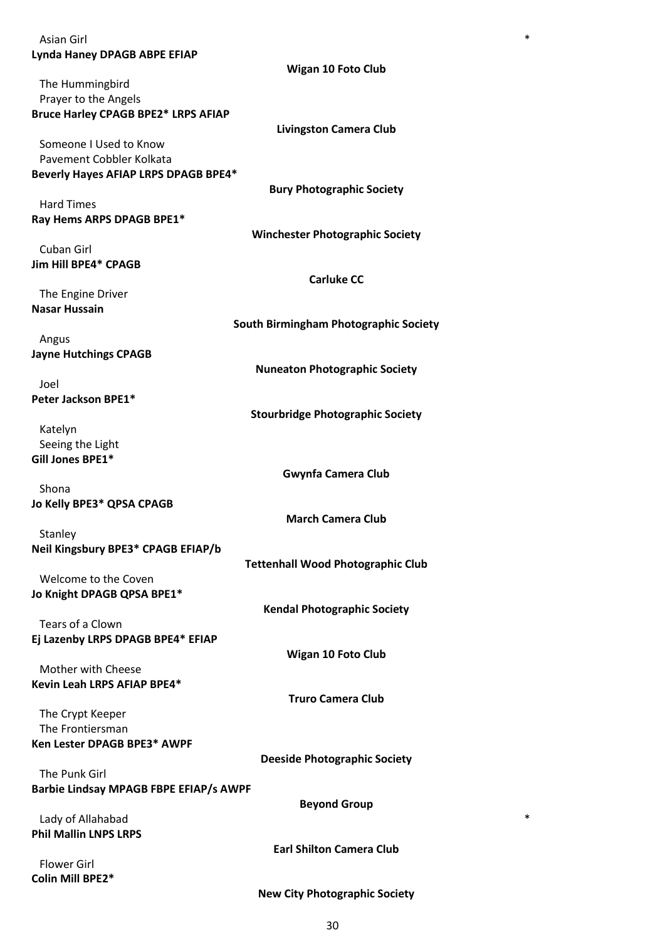| Asian Girl                                    | *                                        |
|-----------------------------------------------|------------------------------------------|
| <b>Lynda Haney DPAGB ABPE EFIAP</b>           |                                          |
|                                               | <b>Wigan 10 Foto Club</b>                |
| The Hummingbird                               |                                          |
| Prayer to the Angels                          |                                          |
| <b>Bruce Harley CPAGB BPE2* LRPS AFIAP</b>    |                                          |
|                                               | <b>Livingston Camera Club</b>            |
| Someone I Used to Know                        |                                          |
| Pavement Cobbler Kolkata                      |                                          |
| Beverly Hayes AFIAP LRPS DPAGB BPE4*          |                                          |
|                                               |                                          |
|                                               | <b>Bury Photographic Society</b>         |
| <b>Hard Times</b>                             |                                          |
| Ray Hems ARPS DPAGB BPE1*                     |                                          |
|                                               | <b>Winchester Photographic Society</b>   |
| Cuban Girl                                    |                                          |
| Jim Hill BPE4* CPAGB                          |                                          |
|                                               | <b>Carluke CC</b>                        |
| The Engine Driver                             |                                          |
| <b>Nasar Hussain</b>                          |                                          |
|                                               | South Birmingham Photographic Society    |
| Angus                                         |                                          |
| <b>Jayne Hutchings CPAGB</b>                  |                                          |
|                                               | <b>Nuneaton Photographic Society</b>     |
| Joel                                          |                                          |
| Peter Jackson BPE1*                           |                                          |
|                                               | <b>Stourbridge Photographic Society</b>  |
| Katelyn                                       |                                          |
| Seeing the Light                              |                                          |
| Gill Jones BPE1*                              |                                          |
|                                               | <b>Gwynfa Camera Club</b>                |
| Shona                                         |                                          |
| Jo Kelly BPE3* QPSA CPAGB                     |                                          |
|                                               | <b>March Camera Club</b>                 |
| Stanley                                       |                                          |
| Neil Kingsbury BPE3* CPAGB EFIAP/b            |                                          |
|                                               | <b>Tettenhall Wood Photographic Club</b> |
| Welcome to the Coven                          |                                          |
| Jo Knight DPAGB QPSA BPE1*                    |                                          |
|                                               | <b>Kendal Photographic Society</b>       |
| Tears of a Clown                              |                                          |
| Ej Lazenby LRPS DPAGB BPE4* EFIAP             |                                          |
|                                               | <b>Wigan 10 Foto Club</b>                |
| Mother with Cheese                            |                                          |
| Kevin Leah LRPS AFIAP BPE4*                   |                                          |
|                                               | <b>Truro Camera Club</b>                 |
| The Crypt Keeper                              |                                          |
| The Frontiersman                              |                                          |
| Ken Lester DPAGB BPE3* AWPF                   |                                          |
|                                               | <b>Deeside Photographic Society</b>      |
| The Punk Girl                                 |                                          |
| <b>Barbie Lindsay MPAGB FBPE EFIAP/s AWPF</b> |                                          |
|                                               | <b>Beyond Group</b>                      |
| Lady of Allahabad                             | *                                        |
| <b>Phil Mallin LNPS LRPS</b>                  |                                          |
|                                               | <b>Earl Shilton Camera Club</b>          |
| <b>Flower Girl</b>                            |                                          |
| Colin Mill BPE2*                              |                                          |
|                                               |                                          |
|                                               | <b>New City Photographic Society</b>     |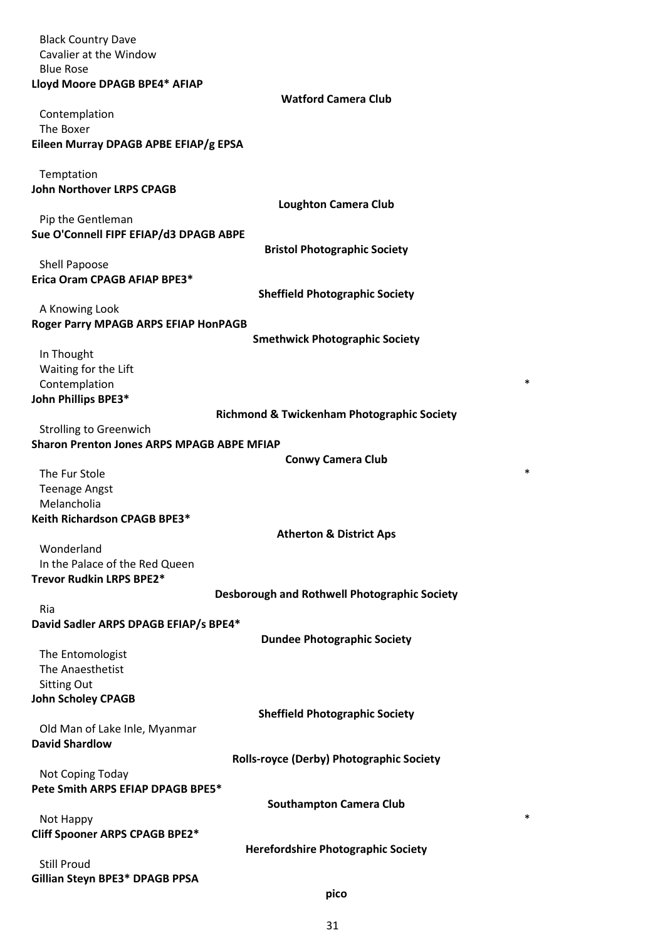| <b>Black Country Dave</b><br>Cavalier at the Window<br><b>Blue Rose</b> |                                                       |
|-------------------------------------------------------------------------|-------------------------------------------------------|
| Lloyd Moore DPAGB BPE4* AFIAP                                           |                                                       |
| Contemplation<br>The Boxer<br>Eileen Murray DPAGB APBE EFIAP/g EPSA     | <b>Watford Camera Club</b>                            |
|                                                                         |                                                       |
| Temptation<br><b>John Northover LRPS CPAGB</b>                          | <b>Loughton Camera Club</b>                           |
| Pip the Gentleman                                                       |                                                       |
| Sue O'Connell FIPF EFIAP/d3 DPAGB ABPE                                  | <b>Bristol Photographic Society</b>                   |
| Shell Papoose                                                           |                                                       |
| Erica Oram CPAGB AFIAP BPE3*                                            |                                                       |
|                                                                         | <b>Sheffield Photographic Society</b>                 |
| A Knowing Look<br>Roger Parry MPAGB ARPS EFIAP HonPAGB                  |                                                       |
|                                                                         | <b>Smethwick Photographic Society</b>                 |
| In Thought                                                              |                                                       |
| Waiting for the Lift                                                    | *                                                     |
| Contemplation<br>John Phillips BPE3*                                    |                                                       |
|                                                                         | <b>Richmond &amp; Twickenham Photographic Society</b> |
| <b>Strolling to Greenwich</b>                                           |                                                       |
| <b>Sharon Prenton Jones ARPS MPAGB ABPE MFIAP</b>                       | <b>Conwy Camera Club</b>                              |
| The Fur Stole                                                           | *                                                     |
| <b>Teenage Angst</b>                                                    |                                                       |
| Melancholia                                                             |                                                       |
| Keith Richardson CPAGB BPE3*                                            | <b>Atherton &amp; District Aps</b>                    |
| Wonderland                                                              |                                                       |
| In the Palace of the Red Queen                                          |                                                       |
| Trevor Rudkin LRPS BPE2*                                                | Desborough and Rothwell Photographic Society          |
| Ria                                                                     |                                                       |
| David Sadler ARPS DPAGB EFIAP/s BPE4*                                   |                                                       |
|                                                                         | <b>Dundee Photographic Society</b>                    |
| The Entomologist<br>The Anaesthetist                                    |                                                       |
| <b>Sitting Out</b>                                                      |                                                       |
| <b>John Scholey CPAGB</b>                                               |                                                       |
| Old Man of Lake Inle, Myanmar                                           | <b>Sheffield Photographic Society</b>                 |
| <b>David Shardlow</b>                                                   |                                                       |
|                                                                         | <b>Rolls-royce (Derby) Photographic Society</b>       |
| Not Coping Today                                                        |                                                       |
| Pete Smith ARPS EFIAP DPAGB BPE5*                                       | <b>Southampton Camera Club</b>                        |
| Not Happy                                                               | *                                                     |
| Cliff Spooner ARPS CPAGB BPE2*                                          |                                                       |
| <b>Still Proud</b>                                                      | <b>Herefordshire Photographic Society</b>             |
| Gillian Steyn BPE3* DPAGB PPSA                                          |                                                       |
|                                                                         | pico                                                  |

31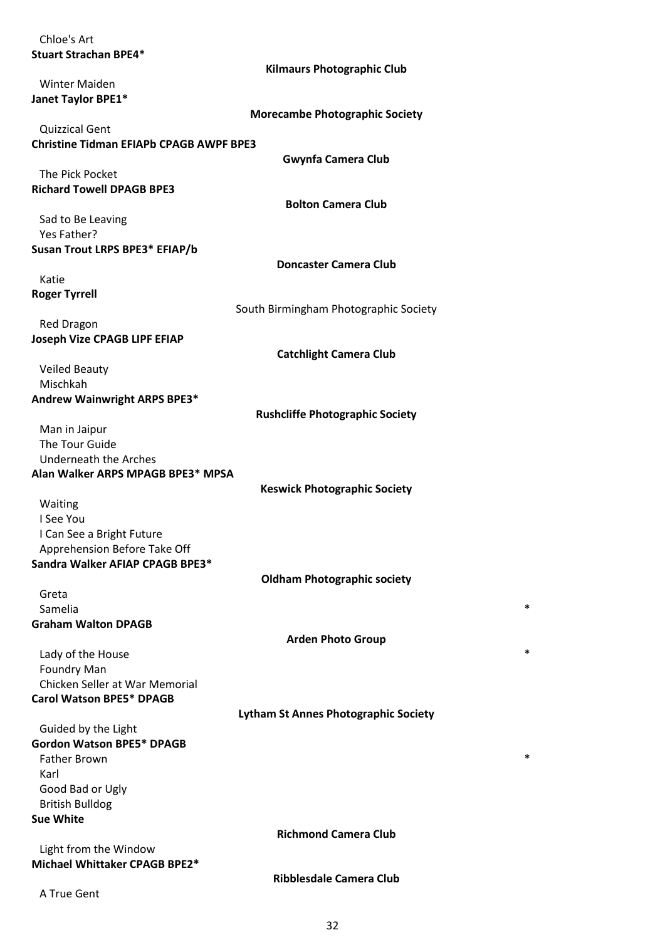| Chloe's Art                                                             |                                             |
|-------------------------------------------------------------------------|---------------------------------------------|
| <b>Stuart Strachan BPE4*</b>                                            |                                             |
|                                                                         | <b>Kilmaurs Photographic Club</b>           |
| <b>Winter Maiden</b>                                                    |                                             |
| Janet Taylor BPE1*                                                      |                                             |
|                                                                         | <b>Morecambe Photographic Society</b>       |
| <b>Quizzical Gent</b><br><b>Christine Tidman EFIAPb CPAGB AWPF BPE3</b> |                                             |
|                                                                         | <b>Gwynfa Camera Club</b>                   |
| The Pick Pocket                                                         |                                             |
| <b>Richard Towell DPAGB BPE3</b>                                        |                                             |
|                                                                         | <b>Bolton Camera Club</b>                   |
| Sad to Be Leaving                                                       |                                             |
| Yes Father?                                                             |                                             |
| Susan Trout LRPS BPE3* EFIAP/b                                          |                                             |
|                                                                         | <b>Doncaster Camera Club</b>                |
| Katie                                                                   |                                             |
| <b>Roger Tyrrell</b>                                                    |                                             |
|                                                                         | South Birmingham Photographic Society       |
| <b>Red Dragon</b>                                                       |                                             |
| Joseph Vize CPAGB LIPF EFIAP                                            |                                             |
|                                                                         | <b>Catchlight Camera Club</b>               |
| <b>Veiled Beauty</b><br>Mischkah                                        |                                             |
| Andrew Wainwright ARPS BPE3*                                            |                                             |
|                                                                         | <b>Rushcliffe Photographic Society</b>      |
| Man in Jaipur                                                           |                                             |
| The Tour Guide                                                          |                                             |
| <b>Underneath the Arches</b>                                            |                                             |
| Alan Walker ARPS MPAGB BPE3* MPSA                                       |                                             |
|                                                                         | <b>Keswick Photographic Society</b>         |
| Waiting                                                                 |                                             |
| I See You                                                               |                                             |
| I Can See a Bright Future                                               |                                             |
| Apprehension Before Take Off                                            |                                             |
| Sandra Walker AFIAP CPAGB BPE3*                                         | <b>Oldham Photographic society</b>          |
| Greta                                                                   |                                             |
| Samelia                                                                 | $\ast$                                      |
| <b>Graham Walton DPAGB</b>                                              |                                             |
|                                                                         | <b>Arden Photo Group</b>                    |
| Lady of the House                                                       | $\ast$                                      |
| <b>Foundry Man</b>                                                      |                                             |
| Chicken Seller at War Memorial                                          |                                             |
| <b>Carol Watson BPE5* DPAGB</b>                                         |                                             |
|                                                                         | <b>Lytham St Annes Photographic Society</b> |
| Guided by the Light                                                     |                                             |
| <b>Gordon Watson BPE5* DPAGB</b>                                        |                                             |
| <b>Father Brown</b>                                                     | $\ast$                                      |
| Karl                                                                    |                                             |
| Good Bad or Ugly                                                        |                                             |
| <b>British Bulldog</b><br><b>Sue White</b>                              |                                             |
|                                                                         | <b>Richmond Camera Club</b>                 |
| Light from the Window                                                   |                                             |
| Michael Whittaker CPAGB BPE2*                                           |                                             |
|                                                                         | <b>Ribblesdale Camera Club</b>              |
| A True Gent                                                             |                                             |
|                                                                         |                                             |